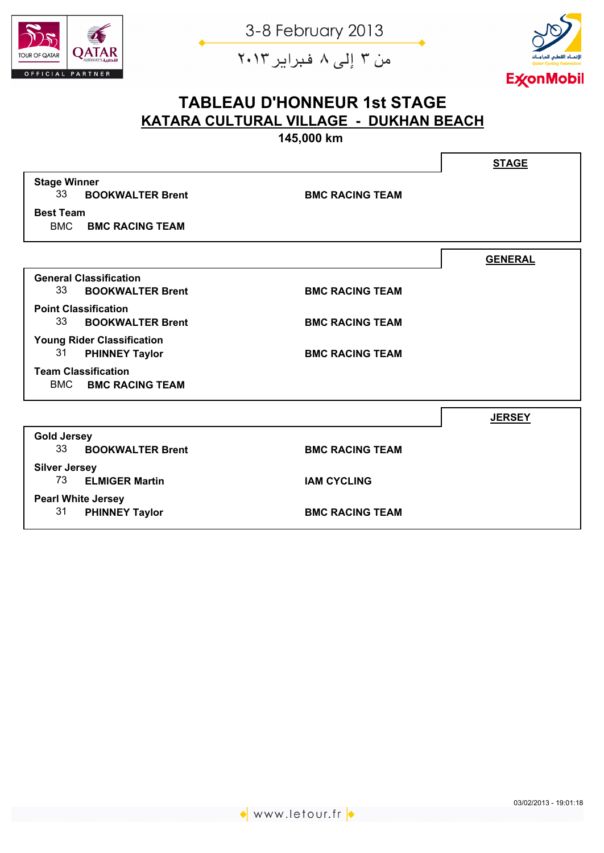

من ۳ إلى ۸ فبراير ۲۰۱۳



## **TABLEAU D'HONNEUR 1st STAGE KATARA CULTURAL VILLAGE - DUKHAN BEACH**

**145,000 km**

|                                                         | <b>STAGE</b>   |
|---------------------------------------------------------|----------------|
| <b>Stage Winner</b>                                     |                |
| 33<br><b>BOOKWALTER Brent</b><br><b>BMC RACING TEAM</b> |                |
| <b>Best Team</b>                                        |                |
| <b>BMC BMC RACING TEAM</b>                              |                |
|                                                         | <b>GENERAL</b> |
| <b>General Classification</b>                           |                |
| 33<br><b>BOOKWALTER Brent</b><br><b>BMC RACING TEAM</b> |                |
| <b>Point Classification</b>                             |                |
| 33<br><b>BOOKWALTER Brent</b><br><b>BMC RACING TEAM</b> |                |
| <b>Young Rider Classification</b>                       |                |
| 31<br><b>PHINNEY Taylor</b><br><b>BMC RACING TEAM</b>   |                |
| <b>Team Classification</b>                              |                |
| <b>BMC</b><br><b>BMC RACING TEAM</b>                    |                |
|                                                         | <b>JERSEY</b>  |
|                                                         |                |
| <b>Gold Jersey</b>                                      |                |
| 33<br><b>BOOKWALTER Brent</b><br><b>BMC RACING TEAM</b> |                |
| <b>Silver Jersey</b>                                    |                |
| 73 ELMIGER Martin<br><b>IAM CYCLING</b>                 |                |
| <b>Pearl White Jersey</b>                               |                |
| 31<br><b>PHINNEY Taylor</b><br><b>BMC RACING TEAM</b>   |                |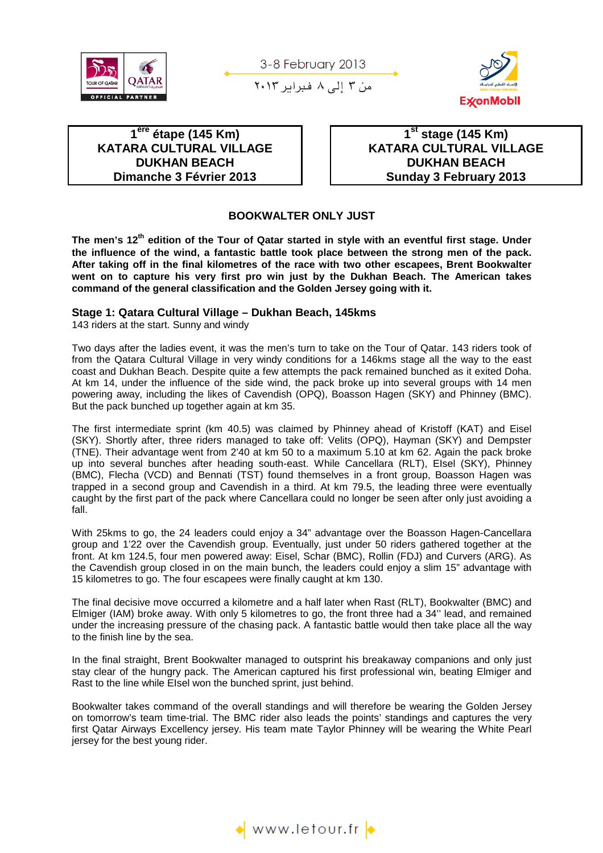

من ٣ إلى ٨ فبراير ٢٠١٣



**1 ère étape (145 Km) KATARA CULTURAL VILLAGE DUKHAN BEACH Dimanche 3 Février 2013** 

 **1st stage (145 Km) KATARA CULTURAL VILLAGE DUKHAN BEACH Sunday 3 February 2013** 

#### **BOOKWALTER ONLY JUST**

**The men's 12th edition of the Tour of Qatar started in style with an eventful first stage. Under the influence of the wind, a fantastic battle took place between the strong men of the pack. After taking off in the final kilometres of the race with two other escapees, Brent Bookwalter went on to capture his very first pro win just by the Dukhan Beach. The American takes command of the general classification and the Golden Jersey going with it.** 

#### **Stage 1: Qatara Cultural Village – Dukhan Beach, 145kms**

143 riders at the start. Sunny and windy

Two days after the ladies event, it was the men's turn to take on the Tour of Qatar. 143 riders took of from the Qatara Cultural Village in very windy conditions for a 146kms stage all the way to the east coast and Dukhan Beach. Despite quite a few attempts the pack remained bunched as it exited Doha. At km 14, under the influence of the side wind, the pack broke up into several groups with 14 men powering away, including the likes of Cavendish (OPQ), Boasson Hagen (SKY) and Phinney (BMC). But the pack bunched up together again at km 35.

The first intermediate sprint (km 40.5) was claimed by Phinney ahead of Kristoff (KAT) and Eisel (SKY). Shortly after, three riders managed to take off: Velits (OPQ), Hayman (SKY) and Dempster (TNE). Their advantage went from 2'40 at km 50 to a maximum 5.10 at km 62. Again the pack broke up into several bunches after heading south-east. While Cancellara (RLT), EIsel (SKY), Phinney (BMC), Flecha (VCD) and Bennati (TST) found themselves in a front group, Boasson Hagen was trapped in a second group and Cavendish in a third. At km 79.5, the leading three were eventually caught by the first part of the pack where Cancellara could no longer be seen after only just avoiding a fall.

With 25kms to go, the 24 leaders could enjoy a 34" advantage over the Boasson Hagen-Cancellara group and 1'22 over the Cavendish group. Eventually, just under 50 riders gathered together at the front. At km 124.5, four men powered away: Eisel, Schar (BMC), Rollin (FDJ) and Curvers (ARG). As the Cavendish group closed in on the main bunch, the leaders could enjoy a slim 15" advantage with 15 kilometres to go. The four escapees were finally caught at km 130.

The final decisive move occurred a kilometre and a half later when Rast (RLT), Bookwalter (BMC) and Elmiger (IAM) broke away. With only 5 kilometres to go, the front three had a 34'' lead, and remained under the increasing pressure of the chasing pack. A fantastic battle would then take place all the way to the finish line by the sea.

In the final straight, Brent Bookwalter managed to outsprint his breakaway companions and only just stay clear of the hungry pack. The American captured his first professional win, beating Elmiger and Rast to the line while EIsel won the bunched sprint, just behind.

Bookwalter takes command of the overall standings and will therefore be wearing the Golden Jersey on tomorrow's team time-trial. The BMC rider also leads the points' standings and captures the very first Qatar Airways Excellency jersey. His team mate Taylor Phinney will be wearing the White Pearl jersey for the best young rider.

 $\bullet$  www.letour.fr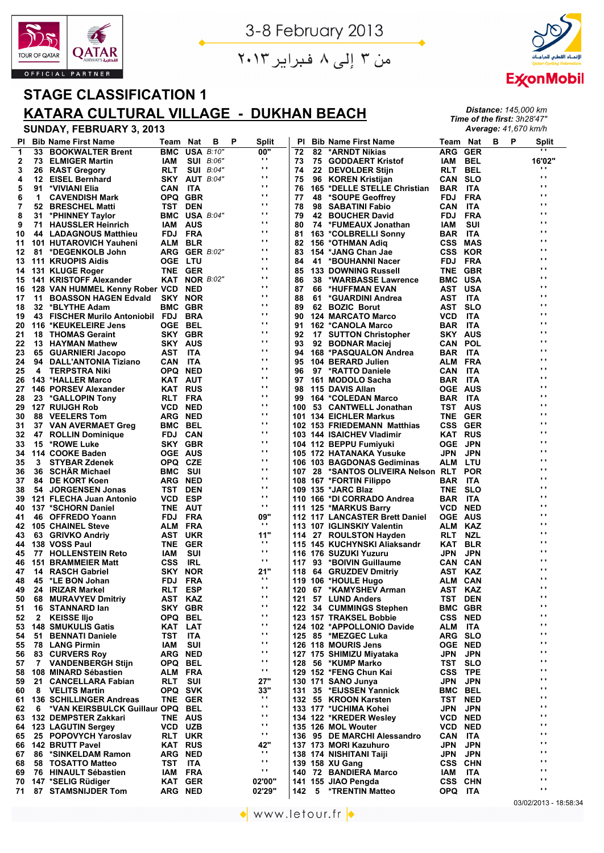

من ۳ إلى ۸ فبراير ۲۰۱۳



*Distance: 145,000 km Time of the first: 3h28'47" Average: 41,670 km/h*

## **STAGE CLASSIFICATION 1 KATARA CULTURAL VILLAGE - DUKHAN BEACH**

| ΡI |              | <b>Bib Name First Name</b>           | Team                 | Nat        | в                       | P | Split           | ΡI  |    | <b>Bib Name First Name</b>         | Team Nat       |            | в | P | <b>Split</b>    |
|----|--------------|--------------------------------------|----------------------|------------|-------------------------|---|-----------------|-----|----|------------------------------------|----------------|------------|---|---|-----------------|
| 1  | 33           | <b>BOOKWALTER Brent</b>              | <b>BMC</b>           |            | <b>USA B:10"</b>        |   | 00"             | 72  | 82 | *ARNDT Nikias                      | ARG GER        |            |   |   | $\cdots$        |
| 2  | 73           | <b>ELMIGER Martin</b>                | IAM                  |            | <b>SUI</b> <i>B:06"</i> |   | $\mathbf{r}$    | 73  | 75 | <b>GODDAERT Kristof</b>            | IAM            | <b>BEL</b> |   |   | 16'02"          |
| 3  |              | 26 RAST Gregory                      | RLT                  |            | <b>SUI</b> <i>B:04"</i> |   | $\mathbf{r}$    | 74  |    | 22 DEVOLDER Stijn                  | RLT            | BEL        |   |   | $\cdot$         |
| 4  | 12           | <b>EISEL Bernhard</b>                | <b>SKY AUT B:04"</b> |            |                         |   | $\mathbf{r}$    | 75  |    | 96 KOREN Kristijan                 | <b>CAN SLO</b> |            |   |   | $\cdot$ $\cdot$ |
| 5  | 91           | *VIVIANI Elia                        | CAN                  | ITA        |                         |   | $\mathbf{r}$    | 76  |    | 165 *DELLE STELLE Christian        | BAR ITA        |            |   |   | $\cdot$ $\cdot$ |
| 6  | 1            | <b>CAVENDISH Mark</b>                | OPQ GBR              |            |                         |   | $\mathbf{r}$    | 77  | 48 | *SOUPE Geoffrey                    | FDJ            | <b>FRA</b> |   |   | $\cdots$        |
| 7  | 52           | <b>BRESCHEL Matti</b>                | <b>TST DEN</b>       |            |                         |   | $\mathbf{r}$    | 78  | 98 | <b>SABATINI Fabio</b>              | CAN            | ITA        |   |   | $\cdots$        |
| 8  | 31           | *PHINNEY Taylor                      | <b>BMC USA B:04"</b> |            |                         |   | $\mathbf{r}$    | 79  | 42 | <b>BOUCHER David</b>               | FDJ            | <b>FRA</b> |   |   | $\cdots$        |
| 9  | 71.          | <b>HAUSSLER Heinrich</b>             | <b>IAM AUS</b>       |            |                         |   | $\mathbf{r}$    | 80  |    | 74 *FUMEAUX Jonathan               | IAM            | SUI        |   |   | $\cdot$ .       |
| 10 |              | 44 LADAGNOUS Matthieu                | FDJ FRA              |            |                         |   | $\mathbf{r}$    | 81  |    | 163 *COLBRELLI Sonny               | BAR            | <b>ITA</b> |   |   | $\cdots$        |
| 11 |              | 101 HUTAROVICH Yauheni               | ALM BLR              |            |                         |   | $\mathbf{r}$    | 82  |    | 156 *OTHMAN Adiq                   | <b>CSS MAS</b> |            |   |   | $\cdot$ $\cdot$ |
| 12 | 81           | *DEGENKOLB John                      | ARG GER B:02"        |            |                         |   | $\mathbf{r}$    | 83  |    | 154 *JANG Chan Jae                 | <b>CSS KOR</b> |            |   |   | $\cdot$ $\cdot$ |
| 13 |              | 111 KRUOPIS Aidis                    | <b>OGE LTU</b>       |            |                         |   | $\mathbf{r}$    | 84  |    | 41 *BOUHANNI Nacer                 | FDJ FRA        |            |   |   | $\cdot$ $\cdot$ |
| 14 |              | 131 KLUGE Roger                      | TNE GER              |            |                         |   | $\mathbf{r}$    | 85  |    | <b>133 DOWNING Russell</b>         | TNE GBR        |            |   |   | $\cdots$        |
| 15 |              | 141 KRISTOFF Alexander               | <b>KAT NOR B:02"</b> |            |                         |   | $\mathbf{r}$    | 86  | 38 | *WARBASSE Lawrence                 | <b>BMC USA</b> |            |   |   | $\cdot$ $\cdot$ |
| 16 |              |                                      |                      | <b>NED</b> |                         |   | $\mathbf{r}$    | 87  | 66 | *HUFFMAN EVAN                      | AST USA        |            |   |   | $\cdot$ $\cdot$ |
|    |              | 128 VAN HUMMEL Kenny Rober VCD       |                      |            |                         |   | $\mathbf{r}$    |     |    |                                    |                |            |   |   | $\cdot$ .       |
| 17 |              | 11 BOASSON HAGEN Edvald              | SKY                  | <b>NOR</b> |                         |   | $\mathbf{r}$    | 88  | 61 | *GUARDINI Andrea                   | AST            | ITA        |   |   | $\cdots$        |
| 18 | 32           | *BLYTHE Adam                         | <b>BMC GBR</b>       |            |                         |   | $\mathbf{r}$ .  | 89  |    | 62 BOZIC Borut                     | AST SLO        |            |   |   | $\cdot$ .       |
| 19 |              | 43 FISCHER Murilo Antoniobil FDJ BRA |                      |            |                         |   | $\mathbf{r}$    | 90  |    | <b>124 MARCATO Marco</b>           | <b>VCD</b>     | ITA        |   |   | $\cdot$ .       |
| 20 |              | 116 *KEUKELEIRE Jens                 | <b>OGE BEL</b>       |            |                         |   | $\mathbf{r}$    | 91  |    | 162 *CANOLA Marco                  | <b>BAR ITA</b> |            |   |   | $\cdot$ .       |
| 21 |              | <b>18 THOMAS Geraint</b>             | SKY GBR              |            |                         |   | $\mathbf{r}$    | 92  |    | 17 SUTTON Christopher              | <b>SKY AUS</b> |            |   |   | $\cdot$ $\cdot$ |
| 22 |              | 13 HAYMAN Mathew                     | SKY AUS              |            |                         |   | $\mathbf{r}$    | 93  |    | 92 BODNAR Maciej                   | <b>CAN POL</b> |            |   |   | $\cdot$ $\cdot$ |
| 23 |              | 65 GUARNIERI Jacopo                  | AST ITA              |            |                         |   |                 | 94  |    | 168 *PASQUALON Andrea              | <b>BAR ITA</b> |            |   |   |                 |
| 24 |              | 94 DALL'ANTONIA Tiziano              | CAN                  | <b>ITA</b> |                         |   | $\mathbf{r}$    | 95  |    | 104 BERARD Julien                  | ALM FRA        |            |   |   | $\cdot$ $\cdot$ |
| 25 | 4            | <b>TERPSTRA Niki</b>                 | OPQ NED              |            |                         |   | $\mathbf{r}$    | 96  |    | 97 *RATTO Daniele                  | CAN            | <b>ITA</b> |   |   | $\cdot$ $\cdot$ |
| 26 |              | 143 *HALLER Marco                    | KAT AUT              |            |                         |   | $\mathbf{r}$    | 97  |    | 161 MODOLO Sacha                   | <b>BAR ITA</b> |            |   |   | $\cdot$ $\cdot$ |
| 27 |              | 146 PORSEV Alexander                 | <b>KAT RUS</b>       |            |                         |   | $\mathbf{r}$    | 98  |    | 115 DAVIS Allan                    | <b>OGE AUS</b> |            |   |   | $\cdot$ .       |
| 28 |              | 23 *GALLOPIN Tony                    | RLT FRA              |            |                         |   | $\mathbf{r}$    | 99  |    | 164 *COLEDAN Marco                 | <b>BAR ITA</b> |            |   |   | $\cdot$ .       |
| 29 |              | <b>127 RUIJGH Rob</b>                | <b>VCD NED</b>       |            |                         |   | $\mathbf{r}$ .  |     |    | 100 53 CANTWELL Jonathan           | <b>TST AUS</b> |            |   |   | $\cdot$ .       |
| 30 |              | 88 VEELERS Tom                       | <b>ARG NED</b>       |            |                         |   | $\mathbf{r}$    |     |    | 101 134 EICHLER Markus             | TNE GER        |            |   |   | $\cdot$ $\cdot$ |
| 31 |              | 37 VAN AVERMAET Greg                 | <b>BMC BEL</b>       |            |                         |   | $\mathbf{r}$    |     |    | 102 153 FRIEDEMANN Matthias        | <b>CSS GER</b> |            |   |   | $\cdot$ $\cdot$ |
| 32 |              | 47 ROLLIN Dominique                  | FDJ CAN              |            |                         |   | $\mathbf{r}$    |     |    | 103 144 ISAICHEV Vladimir          | <b>KAT RUS</b> |            |   |   | $\cdot$ $\cdot$ |
| 33 | 15           | *ROWE Luke                           | SKY GBR              |            |                         |   | $\mathbf{r}$    |     |    | 104 112 BEPPU Fumiyuki             | <b>OGE JPN</b> |            |   |   | $\cdot$ $\cdot$ |
| 34 |              | 114 COOKE Baden                      | <b>OGE AUS</b>       |            |                         |   | $\mathbf{r}$    |     |    | 105 172 HATANAKA Yusuke            | JPN            | <b>JPN</b> |   |   | $\cdot$ $\cdot$ |
| 35 | 3            | <b>STYBAR Zdenek</b>                 | OPQ CZE              |            |                         |   | $\mathbf{r}$    |     |    | 106 103 BAGDONAS Gediminas         | <b>ALM LTU</b> |            |   |   | $\cdot$ $\cdot$ |
| 36 | 36           | <b>SCHÄR Michael</b>                 | <b>BMC</b>           | suı        |                         |   | $\mathbf{r}$    | 107 |    | 28 *SANTOS OLIVEIRA Nelson RLT POR |                |            |   |   | $\cdot$ $\cdot$ |
| 37 |              | 84 DE KORT Koen                      | <b>ARG NED</b>       |            |                         |   | $\mathbf{r}$    |     |    | 108 167 *FORTIN Filippo            | <b>BAR ITA</b> |            |   |   | $\cdot$ .       |
| 38 |              | 54 JORGENSEN Jonas                   | <b>TST DEN</b>       |            |                         |   | $\mathbf{r}$    |     |    | 109 135 *JARC Blaz                 | TNE SLO        |            |   |   | $\cdot$ $\cdot$ |
| 39 |              | 121 FLECHA Juan Antonio              | <b>VCD</b>           | <b>ESP</b> |                         |   | $\mathbf{r}$ .  |     |    | 110 166 *DI CORRADO Andrea         | <b>BAR ITA</b> |            |   |   | $\cdot$ .       |
| 40 |              | 137 *SCHORN Daniel                   | TNE AUT              |            |                         |   | $\mathbf{r}$ .  |     |    | 111 125 *MARKUS Barry              | <b>VCD NED</b> |            |   |   | $\cdot$ .       |
| 41 |              | 46 OFFREDO Yoann                     | FDJ FRA              |            |                         |   | 09"             |     |    | 112 117 LANCASTER Brett Daniel     | <b>OGE AUS</b> |            |   |   | $\cdot$ $\cdot$ |
| 42 |              | <b>105 CHAINEL Steve</b>             | ALM FRA              |            |                         |   | $\mathbf{r}$    |     |    | 113 107 IGLINSKIY Valentin         | ALM KAZ        |            |   |   | $\cdots$        |
|    |              |                                      |                      |            |                         |   | 11"             |     |    |                                    |                |            |   |   | $\cdot$ $\cdot$ |
| 43 |              | 63 GRIVKO Andriv                     | AST UKR              |            |                         |   | $\cdots$        |     |    | 114 27 ROULSTON Hayden             | RLT NZL        |            |   |   | $\cdots$        |
| 44 |              | 138 VOSS Paul                        | TNE GER              |            |                         |   | $\mathbf{r}$    |     |    | 115 145 KUCHYNSKI Aliaksandr       | KAT BLR        |            |   |   | $\cdots$        |
| 45 |              | 77 HOLLENSTEIN Reto                  | IAM                  | <b>SUI</b> |                         |   | $\mathbf{r}$    |     |    | 116 176 SUZUKI Yuzuru              | JPN            | JPN        |   |   | $\cdots$        |
| 46 |              | <b>151 BRAMMEIER Matt</b>            | css                  | IRL        |                         |   |                 | 117 |    | 93 *BOIVIN Guillaume               | CAN            | <b>CAN</b> |   |   | $\cdots$        |
| 47 |              | <b>14 RASCH Gabriel</b>              | SKY                  | <b>NOR</b> |                         |   | 21"<br>$\cdots$ |     |    | 118 64 GRUZDEV Dmitriy             | AST KAZ        |            |   |   | $\cdots$        |
| 48 | 45           | *LE BON Johan                        | FDJ                  | <b>FRA</b> |                         |   | $\mathbf{r}$ .  |     |    | 119 106 *HOULE Hugo                | ALM CAN        |            |   |   | $\blacksquare$  |
| 49 |              | 24 IRIZAR Markel                     | <b>RLT</b>           | <b>ESP</b> |                         |   | $\mathbf{r}$ .  |     |    | 120 67 *KAMYSHEV Arman             | AST            | KAZ        |   |   | $\mathbf{r}$ .  |
| 50 | 68           | <b>MURAVYEV Dmitriy</b>              | AST KAZ              |            |                         |   | $\mathbf{r}$ .  |     |    | 121 57 LUND Anders                 | TST DEN        |            |   |   | $\cdot$ $\cdot$ |
| 51 | 16           | <b>STANNARD lan</b>                  | SKY GBR              |            |                         |   |                 |     |    | 122 34 CUMMINGS Stephen            | <b>BMC GBR</b> |            |   |   |                 |
| 52 | $\mathbf{2}$ | <b>KEISSE IIjo</b>                   | OPQ BEL              |            |                         |   | $\mathbf{r}$    |     |    | 123 157 TRAKSEL Bobbie             | <b>CSS NED</b> |            |   |   | $\cdot$ $\cdot$ |
| 53 |              | <b>148 SMUKULIS Gatis</b>            | KAT LAT              |            |                         |   | $\mathbf{r}$    |     |    | 124 102 *APPOLLONIO Davide         | ALM ITA        |            |   |   | $\cdot$ $\cdot$ |
| 54 | 51           | <b>BENNATI Daniele</b>               | TST                  | <b>ITA</b> |                         |   | $\mathbf{r}$    |     |    | 125 85 *MEZGEC Luka                | ARG SLO        |            |   |   | $\cdot$ $\cdot$ |
| 55 |              | 78 LANG Pirmin                       | IAM                  | SUI        |                         |   | $\mathbf{r}$    |     |    | 126 118 MOURIS Jens                | <b>OGE NED</b> |            |   |   | $\cdot$ $\cdot$ |
| 56 |              | 83 CURVERS Roy                       | <b>ARG NED</b>       |            |                         |   | $\mathbf{r}$    |     |    | 127 175 SHIMIZU Miyataka           | JPN            | JPN        |   |   | $\cdot$ $\cdot$ |
| 57 | 7            | <b>VANDENBERGH Stijn</b>             | OPQ BEL              |            |                         |   | $\mathbf{r}$ .  |     |    | 128 56 *KUMP Marko                 | TST SLO        |            |   |   | $\cdot$ $\cdot$ |
| 58 |              | 108 MINARD Sébastien                 | ALM FRA              |            |                         |   | $\mathbf{r}$ .  |     |    | 129 152 *FENG Chun Kai             | CSS TPE        |            |   |   | $\cdot$ $\cdot$ |
| 59 |              | 21 CANCELLARA Fabian                 | RLT                  | suı        |                         |   | 27"             |     |    | 130 171 SANO Junya                 | JPN            | <b>JPN</b> |   |   | $\cdot$ $\cdot$ |
| 60 |              | 8 VELITS Martin                      | OPQ SVK              |            |                         |   | 33"             | 131 |    | 35 *EIJSSEN Yannick                | <b>BMC</b>     | BEL        |   |   | $\cdot$ $\cdot$ |
| 61 |              | <b>136 SCHILLINGER Andreas</b>       | TNE GER              |            |                         |   | $\mathbf{r}$    |     |    | 132 55 KROON Karsten               | <b>TST NED</b> |            |   |   | $\cdot$ $\cdot$ |
| 62 | 6            | *VAN KEIRSBULCK Guillaur OPQ BEL     |                      |            |                         |   | $\mathbf{r}$ .  |     |    | 133 177 *UCHIMA Kohei              | JPN            | <b>JPN</b> |   |   | $\cdot$ $\cdot$ |
| 63 |              | 132 DEMPSTER Zakkari                 | <b>TNE AUS</b>       |            |                         |   | $\mathbf{r}$    |     |    | 134 122 *KREDER Wesley             | <b>VCD NED</b> |            |   |   | $\cdot$ $\cdot$ |
| 64 |              | 123 LAGUTIN Sergey                   | <b>VCD UZB</b>       |            |                         |   | $\mathbf{r}$ .  |     |    | 135 126 MOL Wouter                 | <b>VCD NED</b> |            |   |   | $\cdot$ $\cdot$ |
| 65 |              | 25 POPOVYCH Yaroslav                 | RLT UKR              |            |                         |   | $\mathbf{r}$    |     |    | 136 95 DE MARCHI Alessandro        | CAN ITA        |            |   |   | $\cdot$ $\cdot$ |
| 66 |              | 142 BRUTT Pavel                      | <b>KAT RUS</b>       |            |                         |   | 42"             |     |    | 137 173 MORI Kazuhuro              | JPN            | <b>JPN</b> |   |   | $\cdot$ $\cdot$ |
| 67 | 86.          | *SINKELDAM Ramon                     | <b>ARG NED</b>       |            |                         |   | $\mathbf{r}$    |     |    | 138 174 NISHITANI Taiji            | JPN JPN        |            |   |   | $\cdot$ $\cdot$ |
| 68 |              | 58 TOSATTO Matteo                    | TST                  | ITA        |                         |   | $\mathbf{r}$ .  |     |    | 139 158 XU Gang                    | CSS CHN        |            |   |   | $\cdot$ $\cdot$ |
| 69 |              | 76 HINAULT Sébastien                 | IAM FRA              |            |                         |   | $\mathbf{r}$    |     |    | 140 72 BANDIERA Marco              | IAM            | <b>ITA</b> |   |   | $\cdots$        |
| 70 |              | 147 *SELIG Rüdiger                   | <b>KAT GER</b>       |            |                         |   | 02'00"          |     |    | 141 155 JIAO Pengda                | CSS CHN        |            |   |   | $\cdot$         |
| 71 |              | <b>87 STAMSNIJDER Tom</b>            | <b>ARG NED</b>       |            |                         |   | 02'29"          | 142 | 5  | *TRENTIN Matteo                    | OPQ ITA        |            |   |   | $\cdot$ $\cdot$ |
|    |              |                                      |                      |            |                         |   |                 |     |    |                                    |                |            |   |   | 0.00000000      |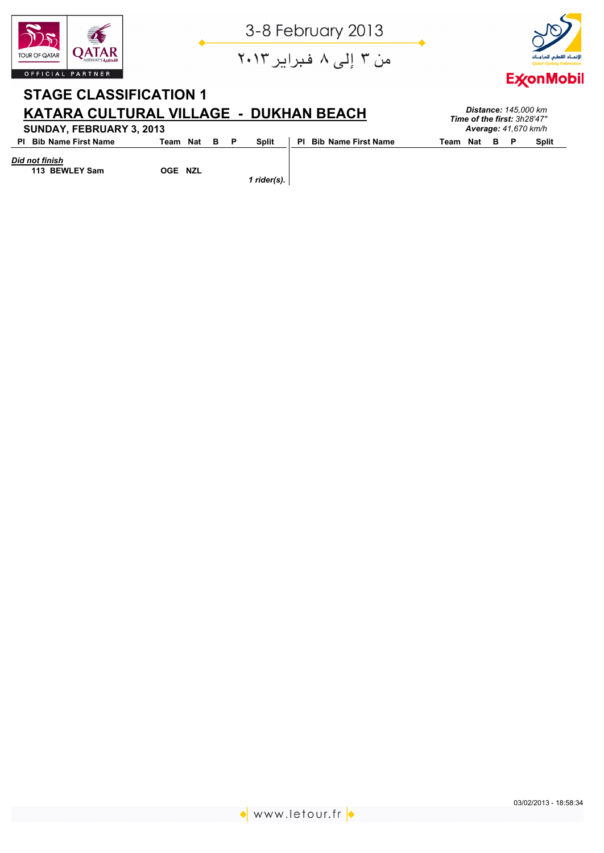

من ۳ إلى ۸ فبراير ۲۰۱۳



*Distance: 145,000 km Time of the first: 3h28'47"*

## **STAGE CLASSIFICATION 1 KATARA CULTURAL VILLAGE - DUKHAN BEACH SUNDAY, FEBRUARY 3, 2013**

| SUNDAY, FEBRUARY 3, 2013      |              |  |       |                        |              |  | <b>Average: 41,670 km/h</b> |
|-------------------------------|--------------|--|-------|------------------------|--------------|--|-----------------------------|
| <b>PI</b> Bib Name First Name | Team Nat B P |  | Split | PI Bib Name First Name | Team Nat B P |  | <b>Split</b>                |

*Did not finish*

 **113 BEWLEY Sam OGE NZL**

*1 rider(s).*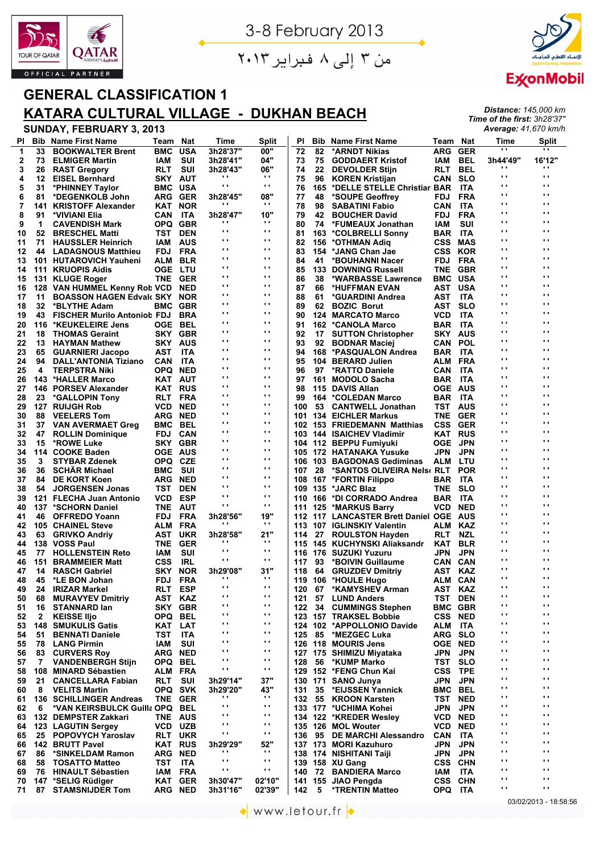

من ۳ إلى ۸ فبراير ۲۰۱۳



*Distance: 145,000 km Time of the first: 3h28'37" Average: 41,670 km/h*

## **GENERAL CLASSIFICATION 1 KATARA CULTURAL VILLAGE - DUKHAN BEACH**

| PI          | <b>Bib</b> | <b>Name First Name</b>                                | Team           | <b>Nat</b>        | Time                        | <b>Split</b>               | ΡI              | <b>Bib</b> | <b>Name First Name</b>                                      | Team                             | <b>Nat</b> | Time                           | <b>Split</b>                   |
|-------------|------------|-------------------------------------------------------|----------------|-------------------|-----------------------------|----------------------------|-----------------|------------|-------------------------------------------------------------|----------------------------------|------------|--------------------------------|--------------------------------|
| $\mathbf 1$ | 33         | <b>BOOKWALTER Brent</b>                               | <b>BMC</b>     | <b>USA</b>        | 3h28'37"                    | 00"                        | $\overline{72}$ | 82         | *ARNDT Nikias                                               | <b>ARG</b>                       | <b>GER</b> | $\mathbf{r}$                   | $\cdots$                       |
| 2           | 73         | <b>ELMIGER Martin</b>                                 | IAM            | SUI               | 3h28'41"                    | 04"                        | 73              | 75         | <b>GODDAERT Kristof</b>                                     | IAM                              | BEL        | 3h44'49"                       | 16'12"                         |
| 3           | 26         | <b>RAST Gregory</b>                                   | <b>RLT</b>     | SUI               | 3h28'43"                    | 06"                        | 74              | 22         | <b>DEVOLDER Stijn</b>                                       | RLT                              | BEL        | $\cdot$ ,                      | $\cdots$                       |
| 4           | 12         | <b>EISEL Bernhard</b>                                 | SKY AUT        |                   | $\cdot$                     | $\mathbf{r}$               | 75              | 96         | <b>KOREN Kristijan</b>                                      | CAN                              | <b>SLO</b> | $\mathbf{r}$                   | $\blacksquare$                 |
| 5           | 31         | *PHINNEY Taylor                                       | BMC            | USA               | $\cdot$ ,                   | $\mathbf{r}$ .             | 76              | 165        | *DELLE STELLE Christiar BAR                                 |                                  | ITA        | $\mathbf{r}$<br>$\mathbf{r}$ . | $\blacksquare$<br>$\mathbf{r}$ |
| 6           | 81         | *DEGENKOLB John                                       | ARG GER        |                   | 3h28'45"<br>$\cdot$ $\cdot$ | 08"<br>$\cdots$            | 77              | 48         | *SOUPE Geoffrey                                             | <b>FDJ</b>                       | <b>FRA</b> | $\mathbf{r}$ .                 | $\mathbf{r}$                   |
| 7           | 141        | <b>KRISTOFF Alexander</b>                             | KAT            | <b>NOR</b>        |                             |                            | 78              | 98         | <b>SABATINI Fabio</b>                                       | <b>CAN</b>                       | ITA        | ω,                             | $\mathbf{r}$                   |
| 8           | 91         | *VIVIANI Elia                                         | CAN            | ITA               | 3h28'47"<br>.,              | 10"<br>$\cdots$            | 79              | 42         | <b>BOUCHER David</b>                                        | FDJ                              | <b>FRA</b> | $\mathbf{r}$ .                 | $\mathbf{r}$                   |
| 9           | 1          | <b>CAVENDISH Mark</b>                                 | OPQ GBR        |                   | $\cdot$ .                   | $\mathbf{r}$ .             | 80              | 74         | *FUMEAUX Jonathan                                           | IAM                              | SUI        | $\mathbf{r}$ .                 | $\mathbf{r}$                   |
| 10          | 52<br>71   | <b>BRESCHEL Matti</b>                                 | TST            | <b>DEN</b>        | $\cdot$ .                   | $\cdots$                   | 81              |            | 163 *COLBRELLI Sonny                                        | BAR ITA                          |            | $\mathbf{r}$                   | $\blacksquare$                 |
| 11<br>12    | 44         | <b>HAUSSLER Heinrich</b><br><b>LADAGNOUS Matthieu</b> | IAM<br>FDJ     | <b>AUS</b><br>FRA | $\cdot$ .                   | $\cdots$                   | 82<br>83        |            | 156 *OTHMAN Adiq<br>154 *JANG Chan Jae                      | <b>CSS MAS</b><br><b>CSS KOR</b> |            | $\mathbf{r}$ .                 | $\blacksquare$                 |
| 13          |            | 101 HUTAROVICH Yauheni                                | ALM            | <b>BLR</b>        | .,                          | $\blacksquare$             | 84              | 41         | *BOUHANNI Nacer                                             | FDJ                              | FRA        | $\mathbf{r}$                   | $\blacksquare$                 |
| 14          |            | 111 KRUOPIS Aidis                                     | <b>OGE LTU</b> |                   | $\blacksquare$              | $\cdots$                   | 85              |            | <b>133 DOWNING Russell</b>                                  | TNE GBR                          |            | $\mathbf{r}$                   | $\blacksquare$                 |
| 15          |            | 131 KLUGE Roger                                       | <b>TNE</b>     | <b>GER</b>        | $\cdot$ ,                   | .,                         | 86              | 38         | *WARBASSE Lawrence                                          | <b>BMC</b>                       | USA        | $\mathbf{r}$                   | $\blacksquare$                 |
| 16          |            | 128 VAN HUMMEL Kenny Rot VCD                          |                | <b>NED</b>        | .,                          | $\cdots$                   | 87              | 66         | *HUFFMAN EVAN                                               | AST USA                          |            | $\mathbf{r}$                   | $\blacksquare$                 |
| 17          | 11         | <b>BOASSON HAGEN Edvalt SKY</b>                       |                | <b>NOR</b>        | .,                          | $\blacksquare$             | 88              | 61         | *GUARDINI Andrea                                            | AST                              | ITA        | $\mathbf{r}$                   | $\blacksquare$                 |
| 18          | 32         | *BLYTHE Adam                                          | <b>BMC GBR</b> |                   | $\blacksquare$              | $\blacksquare$             | 89              | 62         | <b>BOZIC Borut</b>                                          | AST                              | <b>SLO</b> | $\mathbf{r}$                   | $\mathbf{r}$                   |
| 19          | 43         | <b>FISCHER Murilo Antoniol FDJ</b>                    |                | <b>BRA</b>        | $\cdot$ ,                   | $\cdots$                   | 90              |            | <b>124 MARCATO Marco</b>                                    | <b>VCD</b>                       | ITA        | $\mathbf{r}$                   | $\blacksquare$                 |
| 20          | 116        | *KEUKELEIRE Jens                                      | <b>OGE BEL</b> |                   | $\cdot$ .                   | $\cdots$                   | 91              |            | 162 *CANOLA Marco                                           | BAR                              | ITA        | $\mathbf{r}$ .                 | $\mathbf{r}$                   |
| 21          | 18         | <b>THOMAS Geraint</b>                                 | SKY            | <b>GBR</b>        | $\cdot$ .                   | $\cdots$                   | 92              | 17         | <b>SUTTON Christopher</b>                                   | SKY AUS                          |            | $\mathbf{r}$ .                 | $\mathbf{r}$                   |
| 22          | 13         | <b>HAYMAN Mathew</b>                                  | <b>SKY AUS</b> |                   | $\cdot$ .                   | $\blacksquare$             | 93              | 92         | <b>BODNAR Maciej</b>                                        | CAN                              | POL        | $\mathbf{r}$ .                 | $\mathbf{r}$                   |
| 23          | 65         | <b>GUARNIERI Jacopo</b>                               | AST            | ITA               | $\cdot$ .                   | $\cdots$                   | 94              |            | 168 *PASQUALON Andrea                                       | <b>BAR</b>                       | ITA        | $\mathbf{r}$ .                 | $\mathbf{r}$                   |
| 24          | 94         | <b>DALL'ANTONIA Tiziano</b>                           | CAN            | ITA               | $\cdot$ $\cdot$             | $\cdots$                   | 95              |            | 104 BERARD Julien                                           | ALM                              | FRA        | $\mathbf{r}$ .                 | $\blacksquare$                 |
| 25          | 4          | <b>TERPSTRA Niki</b>                                  | OPQ NED        |                   | .,                          | $\cdots$                   | 96              | 97         | <b>*RATTO Daniele</b>                                       | <b>CAN</b>                       | ITA        | $\mathbf{r}$                   | $\blacksquare$                 |
| 26          |            | 143 *HALLER Marco                                     | KAT AUT        |                   | .,                          | $\blacksquare$             | 97              |            | 161 MODOLO Sacha                                            | <b>BAR ITA</b>                   |            | $\mathbf{r}$                   | $\blacksquare$                 |
| 27          |            | 146 PORSEV Alexander                                  | KAT            | <b>RUS</b>        | $\cdot$ ,                   | .,                         | 98              |            | 115 DAVIS Allan                                             | <b>OGE AUS</b>                   |            | $\mathbf{r}$                   | $\blacksquare$                 |
| 28          | 23         | *GALLOPIN Tony                                        | RLT FRA        |                   | .,                          | $\cdots$                   | 99              |            | 164 *COLEDAN Marco                                          | <b>BAR ITA</b>                   |            | $\mathbf{r}$                   | $\blacksquare$                 |
| 29          |            | 127 RUIJGH Rob                                        | <b>VCD</b>     | <b>NED</b>        | $\cdot$ ,                   | $\blacksquare$<br>$\cdots$ | 100             |            | 53 CANTWELL Jonathan                                        | <b>TST AUS</b>                   |            | $\mathbf{r}$<br>$\mathbf{r}$   | $\blacksquare$<br>$\mathbf{r}$ |
| 30          | 88         | <b>VEELERS Tom</b>                                    | <b>ARG NED</b> |                   | .,<br>$\cdot$ .             | $\cdots$                   | 101             |            | <b>134 EICHLER Markus</b>                                   | TNE                              | GER        | $\mathbf{r}$                   | $\blacksquare$                 |
| 31          | 37         | <b>VAN AVERMAET Greg</b>                              | BMC            | BEL               | $\cdot$ $\cdot$             | $\mathbf{r}$ .             |                 |            | 102 153 FRIEDEMANN Matthias                                 | <b>CSS</b>                       | GER        | $\mathbf{r}$ .                 | $\mathbf{r}$                   |
| 32          | 47         | <b>ROLLIN Dominique</b>                               | FDJ            | CAN               | $\cdot$ .                   | ο,                         |                 |            | 103 144 ISAICHEV Vladimir                                   | <b>KAT RUS</b>                   |            | $\mathbf{r}$ .                 | $\mathbf{r}$                   |
| 33          | 15         | *ROWE Luke                                            | SKY            | <b>GBR</b>        | $\cdot$ .                   | ο,                         |                 |            | 104 112 BEPPU Fumiyuki                                      | <b>OGE</b>                       | JPN        | $\mathbf{r}$ .                 | $\mathbf{r}$                   |
| 34          |            | 114 COOKE Baden                                       | <b>OGE AUS</b> |                   | $\cdot$ .                   | $\cdots$                   |                 |            | 105 172 HATANAKA Yusuke                                     | JPN                              | <b>JPN</b> | $\mathbf{r}$ .                 | $\mathbf{r}$                   |
| 35<br>36    | 3<br>36    | <b>STYBAR Zdenek</b><br><b>SCHAR Michael</b>          | OPQ CZE<br>BMC | sui               | .,                          | $\mathbf{r}$ .             | 106<br>107      |            | 103 BAGDONAS Gediminas<br>28 *SANTOS OLIVEIRA Nels( RLT POR | ALM                              | LTU        | $\mathbf{r}$ .                 | $\mathbf{r}$                   |
| 37          | 84         | <b>DE KORT Koen</b>                                   | <b>ARG NED</b> |                   | .,                          | $\cdots$                   | 108             |            | 167 *FORTIN Filippo                                         | <b>BAR</b>                       | <b>ITA</b> | $\mathbf{r}$                   | $\blacksquare$                 |
| 38          | 54         | <b>JORGENSEN Jonas</b>                                | TST            | <b>DEN</b>        | $\cdot$ ,                   | $\cdots$                   |                 |            | 109 135 *JARC Blaz                                          | TNE SLO                          |            | $\mathbf{r}$                   | $\blacksquare$                 |
| 39          |            | 121 FLECHA Juan Antonio                               | <b>VCD</b>     | ESP               | $\cdot$ ,                   | $\cdots$                   | 110             |            | 166 *DI CORRADO Andrea                                      | <b>BAR</b>                       | ITA        | $\mathbf{r}$                   | $\blacksquare$                 |
| 40          |            | 137 *SCHORN Daniel                                    | TNE AUT        |                   | $\cdot$ ,                   | $\blacksquare$             |                 |            | 111 125 *MARKUS Barry                                       | <b>VCD NED</b>                   |            | $\mathbf{r}$                   | $\blacksquare$                 |
| 41          | 46         | <b>OFFREDO Yoann</b>                                  | <b>FDJ</b>     | FRA               | 3h28'56"                    | 19"                        |                 |            | 112 117 LANCASTER Brett Daniel OGE AUS                      |                                  |            | $\mathbf{r}$                   | $\blacksquare$                 |
| 42          |            | 105 CHAINEL Steve                                     | ALM FRA        |                   | $\cdot$                     | $\mathbf{r}$               |                 |            | 113 107 IGLINSKIY Valentin                                  | ALM                              | KAZ        | $\mathbf{r}$                   | $\mathbf{r}$                   |
| 43          | 63         | <b>GRIVKO Andriy</b>                                  | AST            | <b>UKR</b>        | 3h28'58"                    | 21"                        | 114             | 27         | <b>ROULSTON Hayden</b>                                      | RLT                              | NZL        | $\mathbf{r}$                   | $\blacksquare$                 |
| 44          |            | 138 VOSS Paul                                         | <b>TNE</b>     | <b>GER</b>        | $\cdots$                    | $\bullet$ .                |                 |            | 115 145 KUCHYNSKI Aliaksandr                                | KAT                              | <b>BLR</b> | $\mathbf{r}$ .                 | $\mathbf{r}$                   |
| 45          | 77         | <b>HOLLENSTEIN Reto</b>                               | IAM            | SUI               | $\cdot$ .                   | $\cdots$                   | 116             |            | 176 SUZUKI Yuzuru                                           | JPN                              | <b>JPN</b> | $\mathbf{r}$ .                 | $\mathbf{r}$                   |
| 46          | 151        | <b>BRAMMEIER Matt</b>                                 | <b>CSS</b>     | IRL               | $\cdot$ .                   | $\mathbf{r}$ .             | 117             | 93         | *BOIVIN Guillaume                                           | CAN                              | CAN        | $\mathbf{r}$ .                 | $\mathbf{r}$                   |
| 47          | 14         | <b>RASCH Gabriel</b>                                  | <b>SKY</b>     | <b>NOR</b>        | 3h29'08"                    | 31"                        | 118             | 64         | <b>GRUZDEV Dmitriy</b>                                      | AST                              | KAZ        | $\mathbf{r}$ .                 | $\mathbf{r}$                   |
| 48          | 45         | *LE BON Johan                                         | FDJ            | FRA               | $\cdot$ $\cdot$             | $\cdots$                   |                 |            | 119 106 *HOULE Hugo                                         | ALM CAN                          |            | $\mathbf{r}$ .                 | $\mathbf{r}$                   |
| 49          |            | 24 IRIZAR Markel                                      | RLT ESP        |                   | $\cdot$ $\cdot$             | $\cdots$                   |                 |            | 120 67 *KAMYSHEV Arman                                      | AST KAZ                          |            | ω,                             | $\mathbf{r}$                   |
| 50          | 68         | <b>MURAVYEV Dmitriv</b>                               | AST KAZ        |                   | .,<br>$\cdot$ ,             | .,<br>$\blacksquare$       | 121             |            | 57 LUND Anders                                              | TST DEN                          |            | $\cdot$ ,<br>$\mathbf{r}$ ,    | $\mathbf{r}$<br>$\mathbf{r}$   |
| 51          | 16         | <b>STANNARD lan</b>                                   | SKY            | <b>GBR</b>        | .,                          | .,                         | 122             |            | 34 CUMMINGS Stephen                                         | <b>BMC GBR</b>                   |            | .,                             | $\mathbf{r}$                   |
| 52          | 2          | <b>KEISSE Iljo</b>                                    | OPQ BEL        |                   | .,                          | .,                         |                 |            | 123 157 TRAKSEL Bobbie                                      | <b>CSS NED</b>                   |            | $\cdot$ ,                      | $\cdot$                        |
| 53          |            | <b>148 SMUKULIS Gatis</b>                             | KAT            | LAT               | .,                          | .,                         |                 |            | 124 102 *APPOLLONIO Davide<br>85 *MEZGEC Luka               | ALM                              | ITA        | $\cdot$                        | $\cdot$                        |
| 54          | 51<br>78   | <b>BENNATI Daniele</b><br><b>LANG Pirmin</b>          | TST<br>IAM     | ITA<br>SUI        | .,                          | .,                         | 125             |            |                                                             | ARG SLO<br><b>OGE NED</b>        |            | $\cdot$ ,                      | $\mathbf{r}$                   |
| 55<br>56    | 83         | <b>CURVERS Roy</b>                                    | <b>ARG NED</b> |                   | .,                          | .,                         |                 |            | 126 118 MOURIS Jens<br>127 175 SHIMIZU Miyataka             | JPN                              | JPN        | $\mathbf{r}$                   | $\mathbf{r}$                   |
| 57          | 7          | <b>VANDENBERGH Stijn</b>                              | OPQ BEL        |                   | $\cdot$ ,                   | $\blacksquare$             | 128             | 56         | *KUMP Marko                                                 | TST                              | <b>SLO</b> | $\mathbf{r}$ ,                 | $\mathbf{r}$                   |
| 58          |            | 108 MINARD Sébastien                                  | ALM FRA        |                   | $\cdot$ ,                   | $\mathbf{r}$               |                 |            | 129 152 *FENG Chun Kai                                      | CSS                              | <b>TPE</b> | ω,                             | $\mathbf{r}$                   |
| 59          | 21         | <b>CANCELLARA Fabian</b>                              | RLT            | SUI               | 3h29'14"                    | 37"                        |                 |            | 130 171 SANO Junya                                          | JPN                              | <b>JPN</b> | $\blacksquare$                 | $\mathbf{r}$                   |
| 60          | 8          | <b>VELITS Martin</b>                                  | OPQ SVK        |                   | 3h29'20"                    | 43"                        | 131             | 35         | *EIJSSEN Yannick                                            | BMC                              | BEL        | ω,                             | $\mathbf{r}$                   |
| 61          |            | 136 SCHILLINGER Andreas                               | <b>TNE</b>     | <b>GER</b>        | .,                          | $\mathbf{r}$               | 132             | 55         | <b>KROON Karsten</b>                                        | TST NED                          |            | $\cdot$ ,                      | $\mathbf{r}$                   |
| 62          | 6          | *VAN KEIRSBULCK Guilla OPQ BEL                        |                |                   | $\blacksquare$              | $\mathbf{r}$               |                 |            | 133 177 *UCHIMA Kohei                                       | JPN                              | JPN        | $\cdot$ $\cdot$                | $\mathbf{r}$                   |
| 63          |            | 132 DEMPSTER Zakkari                                  | <b>TNE AUS</b> |                   | .,                          | $\blacksquare$             |                 |            | 134 122 *KREDER Wesley                                      | VCD                              | <b>NED</b> | $\cdot$ ,                      | $\cdot$                        |
| 64          |            | 123 LAGUTIN Sergey                                    | VCD UZB        |                   | .,                          | $\blacksquare$             |                 |            | 135 126 MOL Wouter                                          | <b>VCD NED</b>                   |            | $\cdot$                        | $\cdot$                        |
| 65          |            | 25 POPOVYCH Yaroslav                                  | RLT            | UKR               | $\blacksquare$              | $\mathbf{r}$               | 136             |            | 95 DE MARCHI Alessandro                                     | <b>CAN</b>                       | ITA        | $\cdot$ ,                      | $\cdot$                        |
| 66          |            | 142 BRUTT Pavel                                       | KAT RUS        |                   | 3h29'29"                    | 52"                        |                 |            | 137 173 MORI Kazuhuro                                       | JPN                              | <b>JPN</b> | υ,                             | $\cdot$                        |
| 67          | 86         | *SINKELDAM Ramon                                      | <b>ARG NED</b> |                   | $\cdot$                     | $\mathbf{r}$               |                 |            | 138 174 NISHITANI Taiji                                     | JPN                              | <b>JPN</b> | $\cdot$ ,                      | $\cdot$                        |
| 68          | 58         | <b>TOSATTO Matteo</b>                                 | TST            | ITA               | $\blacksquare$              | $\mathbf{r}$               |                 |            | 139 158 XU Gang                                             | <b>CSS CHN</b>                   |            | $\cdot$                        | $\mathbf{r}$                   |
| 69          | 76         | <b>HINAULT Sébastien</b>                              | IAM            | <b>FRA</b>        | $\cdot$ ,                   | $\mathbf{r}$               | 140             | 72         | <b>BANDIERA Marco</b>                                       | IAM                              | <b>ITA</b> | $\mathbf{r}$ .                 | $\blacksquare$                 |
| 70          |            | 147 *SELIG Rüdiger                                    | KAT GER        |                   | 3h30'47"                    | 02'10"                     |                 |            | 141 155 JIAO Pengda                                         | <b>CSS CHN</b>                   |            | $\mathbf{r}$ .                 | $\mathbf{r}$                   |
| 71          | 87         | <b>STAMSNIJDER Tom</b>                                | <b>ARG NED</b> |                   | 3h31'16"                    | 02'39"                     | 142             | 5          | <b>*TRENTIN Matteo</b>                                      | OPQ ITA                          |            | $\blacksquare$                 | $\mathbf{r}$ .                 |
|             |            |                                                       |                |                   |                             |                            |                 |            |                                                             |                                  |            |                                | 03/02/2013 - 18:5              |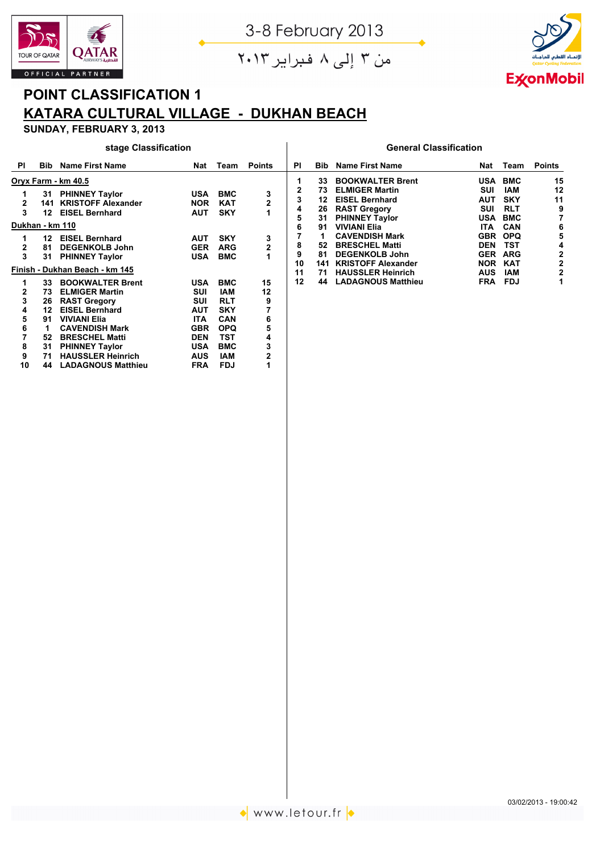

من ۳ إلى ۸ فبراير ۲۰۱۳



# **POINT CLASSIFICATION 1 KATARA CULTURAL VILLAGE - DUKHAN BEACH**

## **SUNDAY, FEBRUARY 3, 2013**

#### **stage Classification General Classification**

| PI | <b>Bib</b> | <b>Name First Name</b>         | Nat        | Team       | <b>Points</b>  | ΡI | <b>Bib</b> | <b>Name First Name</b>    | Nat        | Team       | <b>Points</b> |
|----|------------|--------------------------------|------------|------------|----------------|----|------------|---------------------------|------------|------------|---------------|
|    |            | Oryx Farm - km 40.5            |            |            |                |    | 33         | <b>BOOKWALTER Brent</b>   | <b>USA</b> | <b>BMC</b> | 15            |
|    |            | 31 PHINNEY Taylor              | <b>USA</b> | <b>BMC</b> | 3              | 2  | 73         | <b>ELMIGER Martin</b>     | SUI        | <b>IAM</b> | 12            |
| 2  | 141        | <b>KRISTOFF Alexander</b>      | <b>NOR</b> | <b>KAT</b> |                | 3  | 12         | <b>EISEL Bernhard</b>     | AUT        | <b>SKY</b> | 11            |
| 3  | 12         | <b>EISEL Bernhard</b>          | <b>AUT</b> | <b>SKY</b> |                | 4  | 26         | <b>RAST Gregory</b>       | SUI        | <b>RLT</b> | 9             |
|    |            |                                |            |            |                | 5  | 31         | <b>PHINNEY Taylor</b>     | USA        | <b>BMC</b> |               |
|    |            | Dukhan - km 110                |            |            |                | 6  | 91         | <b>VIVIANI Elia</b>       | ITA        | <b>CAN</b> | 6             |
|    | 12         | <b>EISEL Bernhard</b>          | <b>AUT</b> | <b>SKY</b> | 3              |    |            | <b>CAVENDISH Mark</b>     | <b>GBR</b> | <b>OPQ</b> | 5             |
| 2  | 81         | <b>DEGENKOLB John</b>          | <b>GER</b> | <b>ARG</b> | $\overline{2}$ | 8  | 52         | <b>BRESCHEL Matti</b>     | <b>DEN</b> | TST        | 4             |
| 3  | 31         | <b>PHINNEY Taylor</b>          | <b>USA</b> | <b>BMC</b> |                | 9  | 81         | <b>DEGENKOLB John</b>     | <b>GER</b> | <b>ARG</b> |               |
|    |            |                                |            |            |                | 10 | 141        | <b>KRISTOFF Alexander</b> | <b>NOR</b> | <b>KAT</b> | 2             |
|    |            | Finish - Dukhan Beach - km 145 |            |            |                | 11 | 71         | <b>HAUSSLER Heinrich</b>  | <b>AUS</b> | <b>IAM</b> |               |
| 1  | 33         | <b>BOOKWALTER Brent</b>        | <b>USA</b> | <b>BMC</b> | 15             | 12 | 44         | <b>LADAGNOUS Matthieu</b> | <b>FRA</b> | <b>FDJ</b> |               |
|    | 73         | <b>ELMIGER Martin</b>          | SUI        | IAM        | 12             |    |            |                           |            |            |               |
| 3  | 26         | <b>RAST Gregory</b>            | SUI        | <b>RLT</b> | 9              |    |            |                           |            |            |               |
|    | 12         | <b>EISEL Bernhard</b>          | <b>AUT</b> | <b>SKY</b> |                |    |            |                           |            |            |               |
| 5  | 91         | <b>VIVIANI Elia</b>            | <b>ITA</b> | <b>CAN</b> | 6              |    |            |                           |            |            |               |
| 6  |            | <b>CAVENDISH Mark</b>          | <b>GBR</b> | <b>OPQ</b> | 5              |    |            |                           |            |            |               |
|    | 52         | <b>BRESCHEL Matti</b>          | <b>DEN</b> | TST        | 4              |    |            |                           |            |            |               |
| 8  | 31         | <b>PHINNEY Taylor</b>          | <b>USA</b> | <b>BMC</b> |                |    |            |                           |            |            |               |
| 9  | 71         | <b>HAUSSLER Heinrich</b>       | <b>AUS</b> | <b>IAM</b> | 2              |    |            |                           |            |            |               |
| 10 | 44         | <b>LADAGNOUS Matthieu</b>      | <b>FRA</b> | <b>FDJ</b> |                |    |            |                           |            |            |               |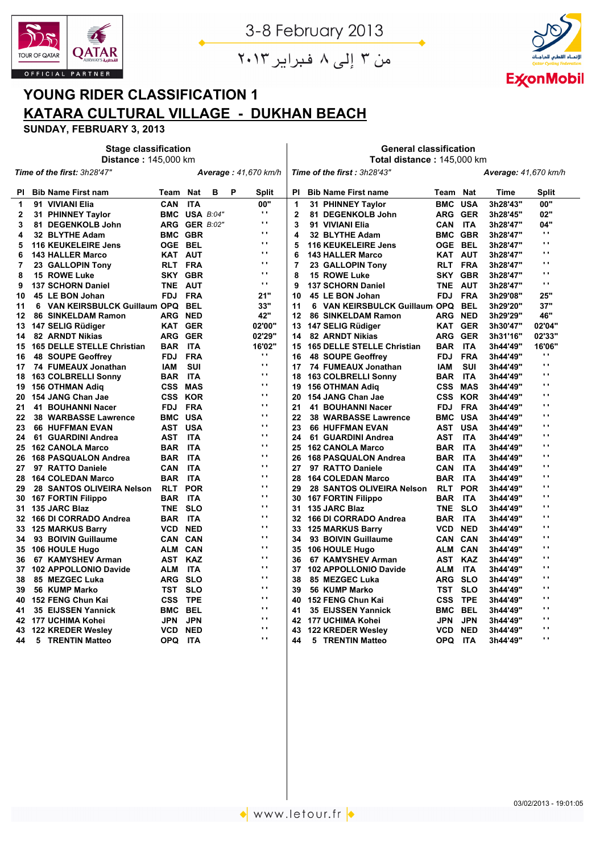

من ۳ إلى ۸ فبراير ۲۰۱۳

 $\begin{array}{c} \hline \end{array}$ 

**General classification**



## **YOUNG RIDER CLASSIFICATION 1 KATARA CULTURAL VILLAGE - DUKHAN BEACH**

|              | <b>Distance: 145,000 km</b>       |                |               |   |   |                             | Total distance: 145,000 km                                 |                                         |                |            |          |                 |  |  |
|--------------|-----------------------------------|----------------|---------------|---|---|-----------------------------|------------------------------------------------------------|-----------------------------------------|----------------|------------|----------|-----------------|--|--|
|              | Time of the first: 3h28'47"       |                |               |   |   | <b>Average: 41,670 km/h</b> | Time of the first: 3h28'43"<br><b>Average: 41,670 km/h</b> |                                         |                |            |          |                 |  |  |
| PI.          | <b>Bib Name First nam</b>         | Team Nat       |               | в | P | Split                       | ΡI                                                         | <b>Bib Name First name</b>              | Team Nat       |            | Time     | Split           |  |  |
| 1            | 91 VIVIANI Elia                   | CAN            | <b>ITA</b>    |   |   | 00"                         | 1                                                          | 31 PHINNEY Taylor                       | <b>BMC</b>     | <b>USA</b> | 3h28'43" | 00"             |  |  |
| $\mathbf{2}$ | 31 PHINNEY Taylor                 |                | BMC USA B:04" |   |   | $\mathbf{r}$ .              | $\overline{2}$                                             | 81 DEGENKOLB John                       | ARG GER        |            | 3h28'45" | 02"             |  |  |
| 3            | 81 DEGENKOLB John                 |                | ARG GER B:02" |   |   | $\cdot$ ,                   | 3                                                          | 91 VIVIANI Elia                         | <b>CAN</b>     | <b>ITA</b> | 3h28'47" | 04"             |  |  |
| 4            | 32 BLYTHE Adam                    | <b>BMC GBR</b> |               |   |   | Ω.                          | 4                                                          | 32 BLYTHE Adam                          | <b>BMC GBR</b> |            | 3h28'47" | $\mathbf{r}$ .  |  |  |
| 5            | <b>116 KEUKELEIRE Jens</b>        | OGE BEL        |               |   |   | $\cdot$ .                   | 5                                                          | <b>116 KEUKELEIRE Jens</b>              | OGE BEL        |            | 3h28'47" | $\mathbf{r}$ .  |  |  |
| 6            | <b>143 HALLER Marco</b>           | <b>KAT AUT</b> |               |   |   | $\cdot$ ,                   | 6                                                          | <b>143 HALLER Marco</b>                 | <b>KAT AUT</b> |            | 3h28'47" | $\mathbf{r}$    |  |  |
| 7            | 23 GALLOPIN Tony                  | RLT FRA        |               |   |   | ω,                          | $\overline{7}$                                             | 23 GALLOPIN Tony                        | RLT FRA        |            | 3h28'47" | $\cdot$ ,       |  |  |
| 8            | 15 ROWE Luke                      | SKY GBR        |               |   |   | ω,                          | 8                                                          | 15 ROWE Luke                            | SKY GBR        |            | 3h28'47" | ω,              |  |  |
| 9            | <b>137 SCHORN Daniel</b>          | <b>TNE</b>     | AUT           |   |   | $\mathbf{r}$ .              | 9                                                          | <b>137 SCHORN Daniel</b>                | TNE AUT        |            | 3h28'47" | $\mathbf{r}$ .  |  |  |
| 10           | 45 LE BON Johan                   | <b>FDJ</b>     | <b>FRA</b>    |   |   | 21"                         | 10                                                         | 45 LE BON Johan                         | FDJ            | <b>FRA</b> | 3h29'08" | 25"             |  |  |
| 11           | VAN KEIRSBULCK Guillaum OPQ<br>6. |                | BEL           |   |   | 33"                         | 11                                                         | <b>VAN KEIRSBULCK Guillaum OPQ</b><br>6 |                | <b>BEL</b> | 3h29'20" | 37"             |  |  |
| 12           | 86 SINKELDAM Ramon                | ARG NED        |               |   |   | 42"                         | 12                                                         | <b>86 SINKELDAM Ramon</b>               | ARG NED        |            | 3h29'29" | 46"             |  |  |
| 13           | 147 SELIG Rüdiger                 | <b>KAT GER</b> |               |   |   | 02'00"                      | 13                                                         | 147 SELIG Rüdiger                       | KAT            | <b>GER</b> | 3h30'47" | 02'04"          |  |  |
| 14           | <b>82 ARNDT Nikias</b>            | ARG GER        |               |   |   | 02'29"                      | 14                                                         | <b>82 ARNDT Nikias</b>                  | ARG GER        |            | 3h31'16" | 02'33"          |  |  |
|              | 15 165 DELLE STELLE Christian     | <b>BAR</b>     | ITA           |   |   | 16'02"                      | 15                                                         | <b>165 DELLE STELLE Christian</b>       | <b>BAR</b>     | ITA        | 3h44'49" | 16'06"          |  |  |
| 16           | 48 SOUPE Geoffrey                 | <b>FDJ</b>     | <b>FRA</b>    |   |   | Ω.                          | 16                                                         | 48 SOUPE Geoffrey                       | <b>FDJ</b>     | <b>FRA</b> | 3h44'49" | $\cdot$ ,       |  |  |
| 17           | 74 FUMEAUX Jonathan               | IAM            | SUI           |   |   | Ω.                          | 17                                                         | 74 FUMEAUX Jonathan                     | IAM            | SUI        | 3h44'49" | Ω.              |  |  |
| 18           | <b>163 COLBRELLI Sonny</b>        | <b>BAR</b>     | <b>ITA</b>    |   |   | $\cdot$ .                   | 18                                                         | <b>163 COLBRELLI Sonny</b>              | <b>BAR</b>     | <b>ITA</b> | 3h44'49" | $\mathbf{r}$    |  |  |
| 19           | <b>156 OTHMAN Adiq</b>            | <b>CSS</b>     | <b>MAS</b>    |   |   | $\cdot$ .                   | 19                                                         | <b>156 OTHMAN Adig</b>                  | CSS            | <b>MAS</b> | 3h44'49" | $\cdot$ $\cdot$ |  |  |
| 20           | 154 JANG Chan Jae                 | CSS KOR        |               |   |   | ω,                          | 20                                                         | 154 JANG Chan Jae                       | CSS            | <b>KOR</b> | 3h44'49" | $\mathbf{r}$    |  |  |
| 21           | 41 BOUHANNI Nacer                 | <b>FDJ</b>     | <b>FRA</b>    |   |   | Ω.                          | 21                                                         | 41 BOUHANNI Nacer                       | <b>FDJ</b>     | <b>FRA</b> | 3h44'49" | Ω.              |  |  |
| 22           | <b>38 WARBASSE Lawrence</b>       | <b>BMC USA</b> |               |   |   | Ω.                          | 22                                                         | <b>38 WARBASSE Lawrence</b>             | <b>BMC</b>     | <b>USA</b> | 3h44'49" | $\cdot$ $\cdot$ |  |  |
| 23           | <b>66 HUFFMAN EVAN</b>            | AST            | <b>USA</b>    |   |   | $\cdot$ .                   | 23                                                         | <b>66 HUFFMAN EVAN</b>                  | AST            | <b>USA</b> | 3h44'49" | $\cdot$ ,       |  |  |
| 24           | 61 GUARDINI Andrea                | AST            | <b>ITA</b>    |   |   | ω,                          | 24                                                         | 61 GUARDINI Andrea                      | AST            | <b>ITA</b> | 3h44'49" | $\cdot$ ,       |  |  |
| 25           | <b>162 CANOLA Marco</b>           | <b>BAR</b>     | <b>ITA</b>    |   |   | Ω.                          | 25                                                         | <b>162 CANOLA Marco</b>                 | <b>BAR</b>     | <b>ITA</b> | 3h44'49" | $\mathbf{r}$ .  |  |  |
| 26           | 168 PASQUALON Andrea              | <b>BAR</b>     | ITA           |   |   | Ω.                          | 26                                                         | <b>168 PASQUALON Andrea</b>             | BAR            | ITA        | 3h44'49" | Ω.              |  |  |
| 27           | 97 RATTO Daniele                  | <b>CAN</b>     | <b>ITA</b>    |   |   | $\cdot$ .                   | 27                                                         | 97 RATTO Daniele                        | <b>CAN</b>     | <b>ITA</b> | 3h44'49" | $\cdot$ $\cdot$ |  |  |
| 28           | <b>164 COLEDAN Marco</b>          | <b>BAR</b>     | <b>ITA</b>    |   |   | ω,                          | 28                                                         | <b>164 COLEDAN Marco</b>                | <b>BAR</b>     | <b>ITA</b> | 3h44'49" | $\cdot$ ,       |  |  |
| 29           | 28 SANTOS OLIVEIRA Nelson         | <b>RLT</b>     | <b>POR</b>    |   |   | ω,                          | 29                                                         | 28 SANTOS OLIVEIRA Nelson               | <b>RLT</b>     | <b>POR</b> | 3h44'49" | ω,              |  |  |
|              | 30 167 FORTIN Filippo             | BAR            | ITA           |   |   | Ω.                          | 30                                                         | <b>167 FORTIN Filippo</b>               | <b>BAR</b>     | ITA        | 3h44'49" | Ω.              |  |  |
| 31           | 135 JARC Blaz                     | <b>TNE</b>     | <b>SLO</b>    |   |   | Ω.                          | 31                                                         | 135 JARC Blaz                           | <b>TNE</b>     | <b>SLO</b> | 3h44'49" | $\mathbf{r}$    |  |  |
| 32           | 166 DI CORRADO Andrea             | <b>BAR</b>     | <b>ITA</b>    |   |   | ω,                          | 32                                                         | 166 DI CORRADO Andrea                   | <b>BAR</b>     | <b>ITA</b> | 3h44'49" | $\cdot$ ,       |  |  |
| 33           | 125 MARKUS Barry                  | VCD.           | <b>NED</b>    |   |   | Ω.                          | 33                                                         | <b>125 MARKUS Barry</b>                 | <b>VCD NED</b> |            | 3h44'49" | ω,              |  |  |
| 34           | 93 BOIVIN Guillaume               | CAN CAN        |               |   |   | Ω.                          | 34                                                         | 93 BOIVIN Guillaume                     | CAN CAN        |            | 3h44'49" | $\mathbf{r}$ .  |  |  |
|              | 35 106 HOULE Hugo                 | ALM CAN        |               |   |   | Ω.                          | 35                                                         | 106 HOULE Hugo                          | ALM CAN        |            | 3h44'49" | $\cdot$ $\cdot$ |  |  |
| 36           | 67 KAMYSHEV Arman                 | AST            | <b>KAZ</b>    |   |   | $\cdot$ .                   | 36                                                         | 67 KAMYSHEV Arman                       | AST            | <b>KAZ</b> | 3h44'49" | $\cdot$ $\cdot$ |  |  |
| 37           | 102 APPOLLONIO Davide             | ALM            | ITA           |   |   | ω,                          | 37                                                         | 102 APPOLLONIO Davide                   | <b>ALM</b>     | <b>ITA</b> | 3h44'49" | $\cdot$ $\cdot$ |  |  |
| 38           | 85 MEZGEC Luka                    | <b>ARG SLO</b> |               |   |   | Ω.                          | 38                                                         | 85 MEZGEC Luka                          | ARG SLO        |            | 3h44'49" | Ω.              |  |  |
| 39           | 56 KUMP Marko                     | TST SLO        |               |   |   | Ω.                          | 39                                                         | <b>56 KUMP Marko</b>                    | TST            | <b>SLO</b> | 3h44'49" | $\cdot$ $\cdot$ |  |  |
| 40           | 152 FENG Chun Kai                 | <b>CSS</b>     | <b>TPE</b>    |   |   | $\cdot$ .                   | 40                                                         | 152 FENG Chun Kai                       | <b>CSS</b>     | <b>TPE</b> | 3h44'49" | $\mathbf{r}$    |  |  |
| 41           | 35 EIJSSEN Yannick                | BMC            | <b>BEL</b>    |   |   | ω,                          | 41                                                         | 35 EIJSSEN Yannick                      | <b>BMC</b>     | <b>BEL</b> | 3h44'49" | $\mathbf{r}$    |  |  |
|              | 42 177 UCHIMA Kohei               | JPN            | <b>JPN</b>    |   |   | ω,                          | 42                                                         | 177 UCHIMA Kohei                        | JPN            | <b>JPN</b> | 3h44'49" | ω,              |  |  |
|              | 43 122 KREDER Wesley              | VCD.           | <b>NED</b>    |   |   | $\mathbf{r}$ .              | 43                                                         | <b>122 KREDER Wesley</b>                | VCD            | <b>NED</b> | 3h44'49" | $\mathbf{r}$ .  |  |  |
| 44           | 5 TRENTIN Matteo                  | OPQ.           | ITA           |   |   | $\mathbf{r}$ .              | 44                                                         | 5 TRENTIN Matteo                        | <b>OPQ</b>     | <b>ITA</b> | 3h44'49" | $\mathbf{r}$ .  |  |  |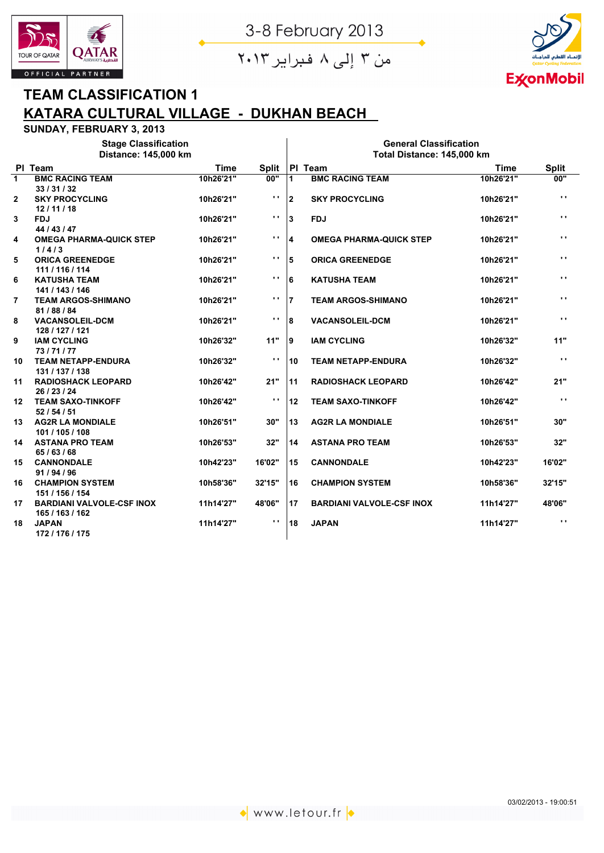

من ۳ إلى ۸ فبراير ۲۰۱۳

Ï



## **TEAM CLASSIFICATION 1 KATARA CULTURAL VILLAGE - DUKHAN BEACH**

|                | <b>Stage Classification</b>                         |             |                | <b>General Classification</b> |                                  |             |                |  |  |  |  |
|----------------|-----------------------------------------------------|-------------|----------------|-------------------------------|----------------------------------|-------------|----------------|--|--|--|--|
|                | Distance: 145,000 km                                |             |                | Total Distance: 145,000 km    |                                  |             |                |  |  |  |  |
|                | PI Team                                             | <b>Time</b> | <b>Split</b>   |                               | PI Team                          | <b>Time</b> | <b>Split</b>   |  |  |  |  |
| $\mathbf{1}$   | <b>BMC RACING TEAM</b><br>33/31/32                  | 10h26'21"   | 00"            | 1                             | <b>BMC RACING TEAM</b>           | 10h26'21"   | 00"            |  |  |  |  |
| 2              | <b>SKY PROCYCLING</b><br>12/11/18                   | 10h26'21"   | $\mathbf{r}$   | $\mathbf{2}$                  | <b>SKY PROCYCLING</b>            | 10h26'21"   | $\mathbf{r}$   |  |  |  |  |
| 3              | <b>FDJ</b><br>44 / 43 / 47                          | 10h26'21"   | $\mathbf{r}$   | 3                             | <b>FDJ</b>                       | 10h26'21"   | Ω.             |  |  |  |  |
| 4              | <b>OMEGA PHARMA-QUICK STEP</b><br>1/4/3             | 10h26'21"   | $\mathbf{r}$   | 4                             | <b>OMEGA PHARMA-QUICK STEP</b>   | 10h26'21"   | $\mathbf{r}$   |  |  |  |  |
| 5              | <b>ORICA GREENEDGE</b><br>111 / 116 / 114           | 10h26'21"   | $\mathbf{r}$ . | 5                             | <b>ORICA GREENEDGE</b>           | 10h26'21"   | $\mathbf{r}$ . |  |  |  |  |
| 6              | <b>KATUSHA TEAM</b><br>141 / 143 / 146              | 10h26'21"   | $\mathbf{r}$ . | 6                             | <b>KATUSHA TEAM</b>              | 10h26'21"   | $\mathbf{r}$ . |  |  |  |  |
| $\overline{7}$ | <b>TEAM ARGOS-SHIMANO</b><br>81/88/84               | 10h26'21"   | $\mathbf{r}$ . | $\overline{7}$                | <b>TEAM ARGOS-SHIMANO</b>        | 10h26'21"   | $\mathbf{r}$   |  |  |  |  |
| 8              | <b>VACANSOLEIL-DCM</b><br>128 / 127 / 121           | 10h26'21"   | $\mathbf{r}$   | 8                             | <b>VACANSOLEIL-DCM</b>           | 10h26'21"   | $\mathbf{r}$   |  |  |  |  |
| 9              | <b>IAM CYCLING</b><br>73/71/77                      | 10h26'32"   | 11"            | 9                             | <b>IAM CYCLING</b>               | 10h26'32"   | 11"            |  |  |  |  |
| 10             | <b>TEAM NETAPP-ENDURA</b><br>131 / 137 / 138        | 10h26'32"   | $\mathbf{r}$ . | 10                            | <b>TEAM NETAPP-ENDURA</b>        | 10h26'32"   | $\mathbf{r}$ . |  |  |  |  |
| 11             | <b>RADIOSHACK LEOPARD</b><br>26 / 23 / 24           | 10h26'42"   | 21"            | 11                            | <b>RADIOSHACK LEOPARD</b>        | 10h26'42"   | 21"            |  |  |  |  |
| 12             | <b>TEAM SAXO-TINKOFF</b><br>52/54/51                | 10h26'42"   | $\mathbf{r}$   | 12                            | <b>TEAM SAXO-TINKOFF</b>         | 10h26'42"   | $\mathbf{r}$ . |  |  |  |  |
| 13             | <b>AG2R LA MONDIALE</b><br>101 / 105 / 108          | 10h26'51"   | 30"            | 13                            | <b>AG2R LA MONDIALE</b>          | 10h26'51"   | 30"            |  |  |  |  |
| 14             | <b>ASTANA PRO TEAM</b><br>65/63/68                  | 10h26'53"   | 32"            | 14                            | <b>ASTANA PRO TEAM</b>           | 10h26'53"   | 32"            |  |  |  |  |
| 15             | <b>CANNONDALE</b><br>91 / 94 / 96                   | 10h42'23"   | 16'02"         | 15                            | <b>CANNONDALE</b>                | 10h42'23"   | 16'02"         |  |  |  |  |
| 16             | <b>CHAMPION SYSTEM</b><br>151 / 156 / 154           | 10h58'36"   | 32'15"         | 16                            | <b>CHAMPION SYSTEM</b>           | 10h58'36"   | 32'15"         |  |  |  |  |
| 17             | <b>BARDIANI VALVOLE-CSF INOX</b><br>165 / 163 / 162 | 11h14'27"   | 48'06"         | 17                            | <b>BARDIANI VALVOLE-CSF INOX</b> | 11h14'27"   | 48'06"         |  |  |  |  |
| 18             | <b>JAPAN</b><br>172 / 176 / 175                     | 11h14'27"   | $\mathbf{r}$   | 18                            | <b>JAPAN</b>                     | 11h14'27"   | $\mathbf{r}$ . |  |  |  |  |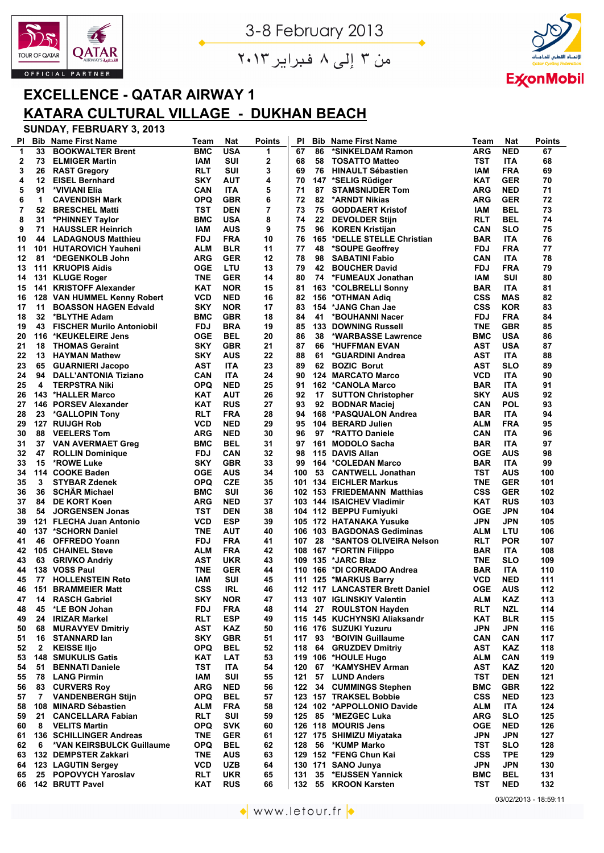

من ۳ إلى ۸ فبراير ۲۰۱۳



## **EXCELLENCE - QATAR AIRWAY 1 KATARA CULTURAL VILLAGE - DUKHAN BEACH**

| PI           | <b>Bib</b>     | <b>Name First Name</b>                              | Team       | <b>Nat</b>               | <b>Points</b> | ΡI       | <b>Bib</b> | <b>Name First Name</b>                         | <b>Team</b>       | <b>Nat</b>        | <b>Points</b> |
|--------------|----------------|-----------------------------------------------------|------------|--------------------------|---------------|----------|------------|------------------------------------------------|-------------------|-------------------|---------------|
| 1            | 33             | <b>BOOKWALTER Brent</b>                             | <b>BMC</b> | <b>USA</b>               | 1             | 67       | 86         | *SINKELDAM Ramon                               | ARG               | <b>NED</b>        | 67            |
| $\mathbf{2}$ | 73             | <b>ELMIGER Martin</b>                               | IAM        | SUI                      | 2             | 68       | 58         | <b>TOSATTO Matteo</b>                          | TST               | ITA               | 68            |
| 3            | 26             | <b>RAST Gregory</b>                                 | RLT        | SUI                      | 3             | 69       | 76         | <b>HINAULT Sébastien</b>                       | IAM               | FRA               | 69            |
| 4            | 12             | <b>EISEL Bernhard</b>                               | <b>SKY</b> | AUT                      | 4             | 70       |            | 147 *SELIG Rüdiger                             | KAT               | <b>GER</b>        | 70            |
| 5            | 91             | *VIVIANI Elia                                       | CAN        | <b>ITA</b>               | 5             | 71       | 87         | <b>STAMSNIJDER Tom</b>                         | ARG               | <b>NED</b>        | 71            |
| 6            | 1              | <b>CAVENDISH Mark</b>                               | <b>OPQ</b> | <b>GBR</b>               | 6             | 72       | 82         | *ARNDT Nikias                                  | ARG               | <b>GER</b>        | 72            |
| 7            | 52             | <b>BRESCHEL Matti</b>                               | TST        | <b>DEN</b>               | 7             | 73       | 75         | <b>GODDAERT Kristof</b>                        | IAM               | <b>BEL</b>        | 73            |
| 8            | 31             | *PHINNEY Taylor                                     | BMC        | <b>USA</b>               | 8             | 74       | 22         | <b>DEVOLDER Stijn</b>                          | RLT               | <b>BEL</b>        | 74            |
| 9            | 71             | <b>HAUSSLER Heinrich</b>                            | IAM        | <b>AUS</b>               | 9             | 75       | 96         | <b>KOREN Kristijan</b>                         | CAN               | SLO               | 75            |
| 10           | 44             | <b>LADAGNOUS Matthieu</b>                           | FDJ        | <b>FRA</b>               | 10            | 76       |            | 165 *DELLE STELLE Christian                    | <b>BAR</b>        | <b>ITA</b>        | 76            |
| 11           |                | 101 HUTAROVICH Yauheni                              | ALM        | <b>BLR</b>               | 11            | 77       | 48         | *SOUPE Geoffrey                                | <b>FDJ</b>        | <b>FRA</b>        | 77            |
| 12           | 81             | *DEGENKOLB John                                     | ARG        | <b>GER</b>               | 12            | 78       | 98         | <b>SABATINI Fabio</b>                          | CAN               | ITA               | 78            |
| 13           |                | 111 KRUOPIS Aidis                                   | OGE        | LTU                      | 13            | 79       | 42         | <b>BOUCHER David</b>                           | <b>FDJ</b>        | FRA               | 79            |
| 14           |                | 131 KLUGE Roger                                     | <b>TNE</b> | <b>GER</b>               | 14            | 80       | 74         | *FUMEAUX Jonathan                              | IAM               | SUI               | 80            |
| 15           |                | 141 KRISTOFF Alexander                              | KAT        | <b>NOR</b>               | 15            | 81       |            | 163 *COLBRELLI Sonny                           | <b>BAR</b>        | <b>ITA</b>        | 81            |
| 16           |                | 128 VAN HUMMEL Kenny Robert                         | VCD        | <b>NED</b>               | 16            | 82       |            | 156 *OTHMAN Adiq                               | <b>CSS</b>        | <b>MAS</b>        | 82            |
| 17           | 11             | <b>BOASSON HAGEN Edvald</b>                         | <b>SKY</b> | <b>NOR</b>               | 17            | 83       |            | 154 *JANG Chan Jae                             | <b>CSS</b>        | <b>KOR</b>        | 83            |
| 18           | 32             | *BLYTHE Adam                                        | BMC        | <b>GBR</b>               | 18            | 84       | 41         | *BOUHANNI Nacer                                | <b>FDJ</b>        | <b>FRA</b>        | 84            |
| 19           | 43             | <b>FISCHER Murilo Antoniobil</b>                    | <b>FDJ</b> | <b>BRA</b>               | 19            | 85       |            | <b>133 DOWNING Russell</b>                     | <b>TNE</b>        | <b>GBR</b>        | 85            |
| 20           |                | 116 *KEUKELEIRE Jens                                | <b>OGE</b> | BEL                      | 20            | 86       | 38         | *WARBASSE Lawrence                             | <b>BMC</b>        | <b>USA</b>        | 86            |
| 21           | 18             | <b>THOMAS Geraint</b>                               | <b>SKY</b> | <b>GBR</b>               | 21            | 87       | 66         | *HUFFMAN EVAN                                  | AST               | <b>USA</b>        | 87            |
| 22           | 13             | <b>HAYMAN Mathew</b>                                | <b>SKY</b> | <b>AUS</b>               | 22            | 88       | 61         | *GUARDINI Andrea                               | <b>AST</b>        | <b>ITA</b>        | 88            |
| 23           | 65             | <b>GUARNIERI Jacopo</b>                             | AST        | <b>ITA</b>               | 23            | 89<br>90 | 62         | <b>BOZIC Borut</b>                             | AST               | SLO               | 89            |
| 24<br>25     | 94<br>4        | <b>DALL'ANTONIA Tiziano</b><br><b>TERPSTRA Niki</b> | CAN        | <b>ITA</b><br><b>NED</b> | 24<br>25      | 91       |            | <b>124 MARCATO Marco</b>                       | <b>VCD</b>        | ITA<br><b>ITA</b> | 90<br>91      |
|              |                | 143 *HALLER Marco                                   | <b>OPQ</b> | <b>AUT</b>               | 26            | 92       |            | 162 *CANOLA Marco<br><b>SUTTON Christopher</b> | <b>BAR</b><br>SKY | AUS               | 92            |
| 26<br>27     |                | 146 PORSEV Alexander                                | KAT<br>KAT | <b>RUS</b>               | 27            | 93       | 17<br>92   | <b>BODNAR Maciej</b>                           | CAN               | <b>POL</b>        | 93            |
| 28           | 23             | *GALLOPIN Tony                                      | RLT        | <b>FRA</b>               | 28            | 94       |            | 168 *PASQUALON Andrea                          | <b>BAR</b>        | <b>ITA</b>        | 94            |
| 29           |                | 127 RUIJGH Rob                                      | VCD        | <b>NED</b>               | 29            | 95       |            | 104 BERARD Julien                              | ALM               | <b>FRA</b>        | 95            |
| 30           | 88             | <b>VEELERS Tom</b>                                  | ARG        | <b>NED</b>               | 30            | 96       | 97         | <b>*RATTO Daniele</b>                          | CAN               | ITA               | 96            |
| 31           |                | 37 VAN AVERMAET Greg                                | BMC        | <b>BEL</b>               | 31            | 97       |            | 161 MODOLO Sacha                               | <b>BAR</b>        | <b>ITA</b>        | 97            |
| 32           | 47             | <b>ROLLIN Dominique</b>                             | FDJ        | <b>CAN</b>               | 32            | 98       |            | 115 DAVIS Allan                                | OGE               | AUS               | 98            |
| 33           | 15             | *ROWE Luke                                          | SKY        | <b>GBR</b>               | 33            | 99       |            | 164 *COLEDAN Marco                             | <b>BAR</b>        | <b>ITA</b>        | 99            |
| 34           |                | 114 COOKE Baden                                     | <b>OGE</b> | <b>AUS</b>               | 34            | 100      |            | 53 CANTWELL Jonathan                           | TST               | AUS               | 100           |
| 35           | 3              | <b>STYBAR Zdenek</b>                                | <b>OPQ</b> | <b>CZE</b>               | 35            |          |            | 101 134 EICHLER Markus                         | TNE               | <b>GER</b>        | 101           |
| 36           | 36             | <b>SCHAR Michael</b>                                | <b>BMC</b> | <b>SUI</b>               | 36            |          |            | 102 153 FRIEDEMANN Matthias                    | <b>CSS</b>        | <b>GER</b>        | 102           |
| 37           | 84             | <b>DE KORT Koen</b>                                 | ARG        | <b>NED</b>               | 37            |          |            | 103 144 ISAICHEV Vladimir                      | KAT               | <b>RUS</b>        | 103           |
| 38           | 54             | <b>JORGENSEN Jonas</b>                              | TST        | <b>DEN</b>               | 38            |          |            | 104 112 BEPPU Fumiyuki                         | OGE               | <b>JPN</b>        | 104           |
| 39           |                | 121 FLECHA Juan Antonio                             | VCD        | <b>ESP</b>               | 39            |          |            | 105 172 HATANAKA Yusuke                        | <b>JPN</b>        | <b>JPN</b>        | 105           |
| 40           |                | 137 *SCHORN Daniel                                  | <b>TNE</b> | <b>AUT</b>               | 40            |          |            | 106 103 BAGDONAS Gediminas                     | ALM               | LTU               | 106           |
| 41           | 46             | <b>OFFREDO Yoann</b>                                | <b>FDJ</b> | <b>FRA</b>               | 41            | 107      | 28         | *SANTOS OLIVEIRA Nelson                        | RLT               | <b>POR</b>        | 107           |
| 42           |                | <b>105 CHAINEL Steve</b>                            | ALM        | <b>FRA</b>               | 42            |          |            | 108 167 *FORTIN Filippo                        | <b>BAR</b>        | <b>ITA</b>        | 108           |
| 43           |                | 63 GRIVKO Andriy                                    | AST        | <b>UKR</b>               | 43            |          |            | 109 135 *JARC Blaz                             | TNE               | <b>SLO</b>        | 109           |
| 44           |                | 138 VOSS Paul                                       | TNE        | <b>GER</b>               | 44            |          |            | 110 166 *DI CORRADO Andrea                     | <b>BAR</b>        | <b>ITA</b>        | 110           |
| 45           | 77             | <b>HOLLENSTEIN Reto</b>                             | <b>IAM</b> | SUI                      | 45            |          |            | 111 125 *MARKUS Barry                          | <b>VCD</b>        | <b>NED</b>        | 111           |
| 46           |                | <b>151 BRAMMEIER Matt</b>                           | <b>CSS</b> | <b>IRL</b>               | 46            |          |            | 112 117 LANCASTER Brett Daniel                 | <b>OGE</b>        | <b>AUS</b>        | 112           |
| 47           | 14             | <b>RASCH Gabriel</b>                                | <b>SKY</b> | <b>NOR</b>               | 47            |          |            | 113 107 IGLINSKIY Valentin                     | ALM               | <b>KAZ</b>        | 113           |
| 48           | 45             | *LE BON Johan                                       | <b>FDJ</b> | <b>FRA</b>               | 48            |          |            | 114 27 ROULSTON Hayden                         | <b>RLT</b>        | <b>NZL</b>        | 114           |
| 49           | 24             | <b>IRIZAR Markel</b>                                | <b>RLT</b> | <b>ESP</b>               | 49            |          |            | 115 145 KUCHYNSKI Aliaksandr                   | KAT               | <b>BLR</b>        | 115           |
| 50           | 68             | <b>MURAVYEV Dmitriy</b>                             | <b>AST</b> | KAZ                      | 50            |          |            | 116 176 SUZUKI Yuzuru                          | <b>JPN</b>        | <b>JPN</b>        | 116           |
| 51           | 16             | <b>STANNARD lan</b>                                 | <b>SKY</b> | <b>GBR</b>               | 51            |          |            | 117 93 *BOIVIN Guillaume                       | <b>CAN</b>        | <b>CAN</b>        | 117           |
| 52           | $\mathbf{2}$   | <b>KEISSE IIjo</b>                                  | OPQ        | <b>BEL</b>               | 52            |          |            | 118 64 GRUZDEV Dmitriy                         | <b>AST</b>        | <b>KAZ</b>        | 118           |
| 53           |                | <b>148 SMUKULIS Gatis</b>                           | KAT        | LAT                      | 53            |          |            | 119 106 *HOULE Hugo                            | ALM               | <b>CAN</b>        | 119           |
| 54           | 51             | <b>BENNATI Daniele</b>                              | TST        | <b>ITA</b>               | 54            | 120      |            | 67 *KAMYSHEV Arman                             | <b>AST</b>        | <b>KAZ</b>        | 120           |
| 55           | 78             | <b>LANG Pirmin</b>                                  | <b>IAM</b> | SUI                      | 55            |          |            | 121 57 LUND Anders                             | TST               | <b>DEN</b>        | 121           |
| 56           | 83             | <b>CURVERS Roy</b>                                  | ARG        | <b>NED</b>               | 56            | 122      |            | 34 CUMMINGS Stephen                            | <b>BMC</b>        | <b>GBR</b>        | 122           |
| 57           | $\overline{7}$ | <b>VANDENBERGH Stijn</b>                            | OPQ        | <b>BEL</b>               | 57            |          |            | 123 157 TRAKSEL Bobbie                         | <b>CSS</b>        | <b>NED</b>        | 123           |
| 58           |                | 108 MINARD Sébastien                                | ALM        | <b>FRA</b>               | 58            |          |            | 124 102 *APPOLLONIO Davide                     | ALM               | <b>ITA</b>        | 124           |
| 59           | 21             | <b>CANCELLARA Fabian</b>                            | <b>RLT</b> | SUI                      | 59            | 125      |            | 85 *MEZGEC Luka                                | ARG               | <b>SLO</b>        | 125           |
| 60           | 8              | <b>VELITS Martin</b>                                | <b>OPQ</b> | <b>SVK</b>               | 60            |          |            | 126 118 MOURIS Jens                            | <b>OGE</b>        | <b>NED</b>        | 126           |
| 61           |                | 136 SCHILLINGER Andreas                             | <b>TNE</b> | <b>GER</b>               | 61            |          |            | 127 175 SHIMIZU Miyataka                       | <b>JPN</b>        | <b>JPN</b>        | 127           |
| 62           | 6              | *VAN KEIRSBULCK Guillaume                           | OPQ        | <b>BEL</b>               | 62            | 128      | 56         | *KUMP Marko                                    | TST               | <b>SLO</b>        | 128           |
| 63           |                | 132 DEMPSTER Zakkari                                | TNE        | AUS                      | 63            |          |            | 129 152 *FENG Chun Kai                         | <b>CSS</b>        | <b>TPE</b>        | 129           |
| 64           |                | 123 LAGUTIN Sergey                                  | VCD        | <b>UZB</b>               | 64            |          |            | 130 171 SANO Junya                             | <b>JPN</b>        | <b>JPN</b>        | 130           |
| 65           |                | 25 POPOVYCH Yaroslav                                | <b>RLT</b> | <b>UKR</b>               | 65            | 131      | 35         | *EIJSSEN Yannick                               | <b>BMC</b>        | <b>BEL</b>        | 131           |
| 66           |                | 142 BRUTT Pavel                                     | <b>KAT</b> | <b>RUS</b>               | 66            | 132      |            | 55 KROON Karsten                               | <b>TST</b>        | <b>NED</b>        | 132           |

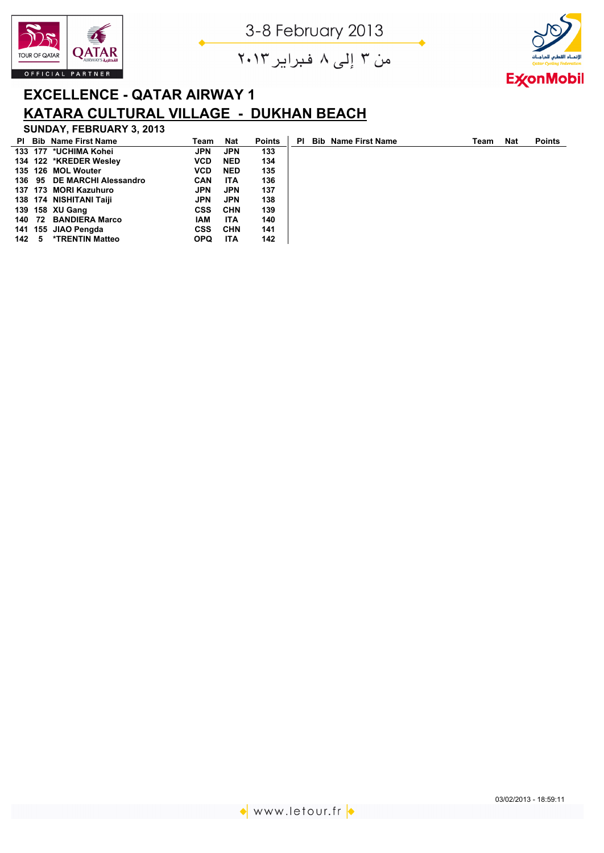





## **EXCELLENCE - QATAR AIRWAY 1 KATARA CULTURAL VILLAGE - DUKHAN BEACH**

## **SUNDAY, FEBRUARY 3, 2013**

|     |    | <b>PI</b> Bib Name First Name | Team       | <b>Nat</b> | <b>Points</b> | ΡI | <b>Bib Name First Name</b> | Team | <b>Nat</b> | <b>Points</b> |
|-----|----|-------------------------------|------------|------------|---------------|----|----------------------------|------|------------|---------------|
|     |    | 133 177 *UCHIMA Kohei         | JPN        | JPN        | 133           |    |                            |      |            |               |
|     |    | 134 122 *KREDER Wesley        | <b>VCD</b> | <b>NED</b> | 134           |    |                            |      |            |               |
|     |    | 135 126 MOL Wouter            | <b>VCD</b> | <b>NED</b> | 135           |    |                            |      |            |               |
|     |    | 136 95 DE MARCHI Alessandro   | <b>CAN</b> | ITA        | 136           |    |                            |      |            |               |
|     |    | 137 173 MORI Kazuhuro         | JPN        | <b>JPN</b> | 137           |    |                            |      |            |               |
|     |    | 138 174 NISHITANI Taiji       | JPN        | <b>JPN</b> | 138           |    |                            |      |            |               |
|     |    | 139 158 XU Gang               | <b>CSS</b> | <b>CHN</b> | 139           |    |                            |      |            |               |
|     |    | 140 72 BANDIERA Marco         | IAM        | ITA        | 140           |    |                            |      |            |               |
|     |    | 141 155 JIAO Pengda           | <b>CSS</b> | <b>CHN</b> | 141           |    |                            |      |            |               |
| 142 | -5 | *TRENTIN Matteo               | <b>OPQ</b> | ITA        | 142           |    |                            |      |            |               |

◆ www.letour.fr <mark>◆</mark>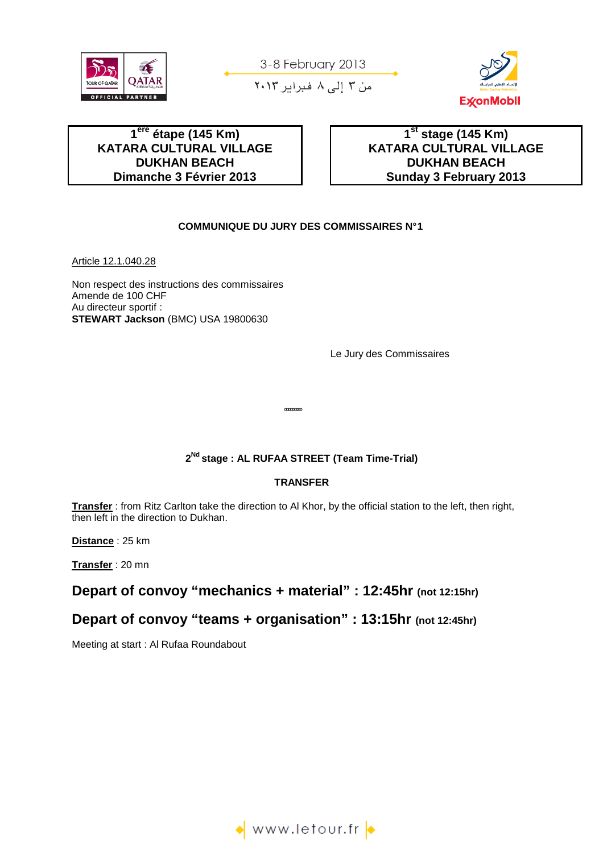







## **1 ère étape (145 Km) KATARA CULTURAL VILLAGE DUKHAN BEACH Dimanche 3 Février 2013**

 **1st stage (145 Km) KATARA CULTURAL VILLAGE DUKHAN BEACH Sunday 3 February 2013** 

#### **COMMUNIQUE DU JURY DES COMMISSAIRES N° 1**

Article 12.1.040.28

Non respect des instructions des commissaires Amende de 100 CHF Au directeur sportif : **STEWART Jackson** (BMC) USA 19800630

Le Jury des Commissaires

## **2 Nd stage : AL RUFAA STREET (Team Time-Trial)**

°°°°°°°°°

#### **TRANSFER**

**Transfer** : from Ritz Carlton take the direction to Al Khor, by the official station to the left, then right, then left in the direction to Dukhan.

**Distance** : 25 km

**Transfer** : 20 mn

## **Depart of convoy "mechanics + material" : 12:45hr (not 12:15hr)**

## **Depart of convoy "teams + organisation" : 13:15hr (not 12:45hr)**

Meeting at start : Al Rufaa Roundabout

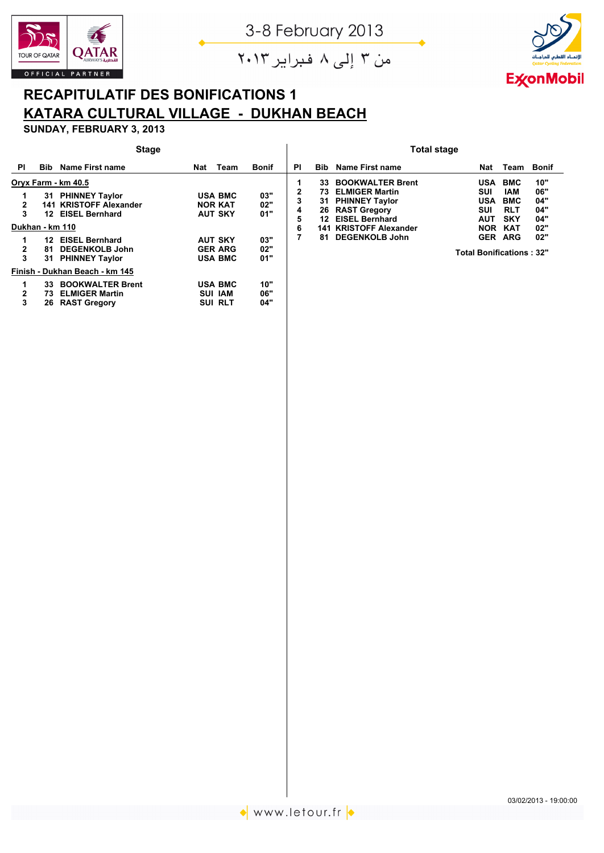



من ۳ إلى ۸ فبراير ۲۰۱۳

# **RECAPITULATIF DES BONIFICATIONS 1 KATARA CULTURAL VILLAGE - DUKHAN BEACH**

**SUNDAY, FEBRUARY 3, 2013**

|                                     |                                             | <b>Stage</b>                                                                                                                                                              |     |                                                                                                          |                                        | <b>Total stage</b>    |                                         |                                                                                                                                                                                 |                                                                                                                      |                                                                                  |                                               |  |  |
|-------------------------------------|---------------------------------------------|---------------------------------------------------------------------------------------------------------------------------------------------------------------------------|-----|----------------------------------------------------------------------------------------------------------|----------------------------------------|-----------------------|-----------------------------------------|---------------------------------------------------------------------------------------------------------------------------------------------------------------------------------|----------------------------------------------------------------------------------------------------------------------|----------------------------------------------------------------------------------|-----------------------------------------------|--|--|
| ΡI                                  | <b>Bib</b>                                  | Name First name                                                                                                                                                           | Nat | Team                                                                                                     | <b>Bonif</b>                           | <b>PI</b>             | <b>Bib</b>                              | Name First name                                                                                                                                                                 | Nat                                                                                                                  | Team                                                                             | <b>Bonif</b>                                  |  |  |
| 2<br>3<br>Dukhan - km 110<br>2<br>3 | 141<br>12 <sup>12</sup><br>12.<br>81<br>31. | Oryx Farm - km 40.5<br>31 PHINNEY Taylor<br><b>KRISTOFF Alexander</b><br><b>EISEL Bernhard</b><br><b>EISEL Bernhard</b><br><b>DEGENKOLB John</b><br><b>PHINNEY Taylor</b> |     | <b>USA BMC</b><br><b>NOR KAT</b><br><b>AUT SKY</b><br><b>AUT SKY</b><br><b>GER ARG</b><br><b>USA BMC</b> | 03"<br>02"<br>01"<br>03"<br>02"<br>01" | 2<br>3<br>4<br>5<br>6 | 33<br>73<br>31<br>26<br>12<br>141<br>81 | <b>BOOKWALTER Brent</b><br><b>ELMIGER Martin</b><br><b>PHINNEY Taylor</b><br><b>RAST Gregory</b><br><b>EISEL Bernhard</b><br><b>KRISTOFF Alexander</b><br><b>DEGENKOLB John</b> | <b>USA</b><br>SUI<br><b>USA</b><br>SUI<br><b>AUT</b><br><b>NOR</b><br><b>GER</b><br><b>Total Bonifications : 32"</b> | <b>BMC</b><br>IAM<br><b>BMC</b><br><b>RLT</b><br><b>SKY</b><br>KAT<br><b>ARG</b> | 10"<br>06"<br>04"<br>04"<br>04"<br>02"<br>02" |  |  |
|                                     |                                             | Finish - Dukhan Beach - km 145                                                                                                                                            |     |                                                                                                          |                                        |                       |                                         |                                                                                                                                                                                 |                                                                                                                      |                                                                                  |                                               |  |  |
| $\mathbf{2}$<br>3                   | 33.<br>73.<br>26.                           | <b>BOOKWALTER Brent</b><br><b>ELMIGER Martin</b><br><b>RAST Gregory</b>                                                                                                   |     | <b>USA BMC</b><br><b>SUI IAM</b><br><b>SUI RLT</b>                                                       | 10"<br>06"<br>04"                      |                       |                                         |                                                                                                                                                                                 |                                                                                                                      |                                                                                  |                                               |  |  |

03/02/2013 - 19:00:00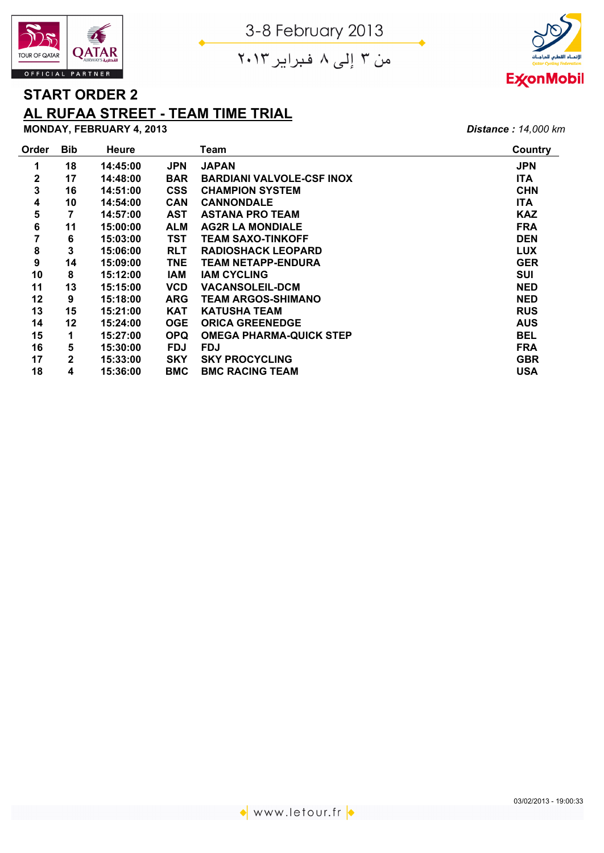





## **START ORDER 2**

## **AL RUFAA STREET - TEAM TIME TRIAL**

**MONDAY, FEBRUARY 4, 2013** *Distance : 14,000 km*

| Order            | <b>Bib</b>   | <b>Heure</b> |            | Team                             | Country    |
|------------------|--------------|--------------|------------|----------------------------------|------------|
| 1                | 18           | 14:45:00     | <b>JPN</b> | <b>JAPAN</b>                     | <b>JPN</b> |
| $\mathbf{2}$     | 17           | 14:48:00     | <b>BAR</b> | <b>BARDIANI VALVOLE-CSF INOX</b> | <b>ITA</b> |
| 3                | 16           | 14:51:00     | <b>CSS</b> | <b>CHAMPION SYSTEM</b>           | <b>CHN</b> |
| 4                | 10           | 14:54:00     | <b>CAN</b> | <b>CANNONDALE</b>                | <b>ITA</b> |
| 5                | 7            | 14:57:00     | <b>AST</b> | <b>ASTANA PRO TEAM</b>           | <b>KAZ</b> |
| 6                | 11           | 15:00:00     | <b>ALM</b> | <b>AG2R LA MONDIALE</b>          | <b>FRA</b> |
| $\overline{7}$   | 6            | 15:03:00     | <b>TST</b> | <b>TEAM SAXO-TINKOFF</b>         | <b>DEN</b> |
| 8                | 3            | 15:06:00     | <b>RLT</b> | <b>RADIOSHACK LEOPARD</b>        | <b>LUX</b> |
| $\boldsymbol{9}$ | 14           | 15:09:00     | TNE        | TEAM NETAPP-ENDURA               | <b>GER</b> |
| 10               | 8            | 15:12:00     | IAM        | <b>IAM CYCLING</b>               | <b>SUI</b> |
| 11               | 13           | 15:15:00     | <b>VCD</b> | <b>VACANSOLEIL-DCM</b>           | <b>NED</b> |
| 12               | 9            | 15:18:00     | <b>ARG</b> | <b>TEAM ARGOS-SHIMANO</b>        | <b>NED</b> |
| 13               | 15           | 15:21:00     | <b>KAT</b> | <b>KATUSHA TEAM</b>              | <b>RUS</b> |
| 14               | 12           | 15:24:00     | <b>OGE</b> | <b>ORICA GREENEDGE</b>           | <b>AUS</b> |
| 15               | 1            | 15:27:00     | <b>OPQ</b> | <b>OMEGA PHARMA-QUICK STEP</b>   | <b>BEL</b> |
| 16               | 5            | 15:30:00     | <b>FDJ</b> | <b>FDJ</b>                       | <b>FRA</b> |
| 17               | $\mathbf{2}$ | 15:33:00     | <b>SKY</b> | <b>SKY PROCYCLING</b>            | <b>GBR</b> |
| 18               | 4            | 15:36:00     | <b>BMC</b> | <b>BMC RACING TEAM</b>           | <b>USA</b> |